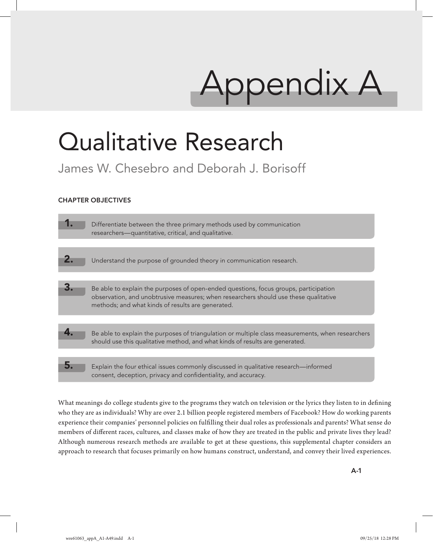Appendix A

# Qualitative Research

James W. Chesebro and Deborah J. Borisoff

# CHAPTER OBJECTIVES

| Differentiate between the three primary methods used by communication<br>researchers-quantitative, critical, and qualitative.                                                                                                     |
|-----------------------------------------------------------------------------------------------------------------------------------------------------------------------------------------------------------------------------------|
| Understand the purpose of grounded theory in communication research.                                                                                                                                                              |
| Be able to explain the purposes of open-ended questions, focus groups, participation<br>observation, and unobtrusive measures; when researchers should use these qualitative<br>methods; and what kinds of results are generated. |
| Be able to explain the purposes of triangulation or multiple class measurements, when researchers<br>should use this qualitative method, and what kinds of results are generated.                                                 |
| Explain the four ethical issues commonly discussed in qualitative research—informed<br>consent, deception, privacy and confidentiality, and accuracy.                                                                             |

What meanings do college students give to the programs they watch on television or the lyrics they listen to in defining who they are as individuals? Why are over 2.1 billion people registered members of Facebook? How do working parents experience their companies' personnel policies on fulfilling their dual roles as professionals and parents? What sense do members of different races, cultures, and classes make of how they are treated in the public and private lives they lead? Although numerous research methods are available to get at these questions, this supplemental chapter considers an approach to research that focuses primarily on how humans construct, understand, and convey their lived experiences.

A-1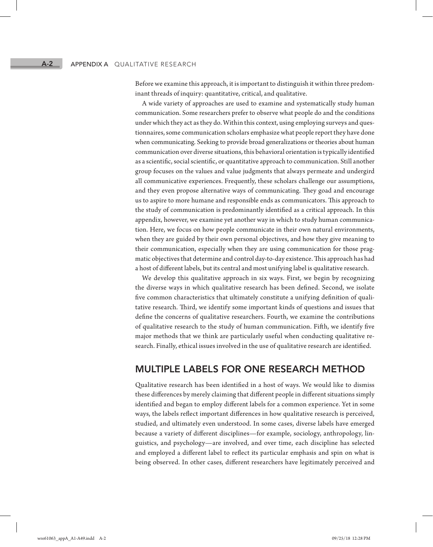Before we examine this approach, it is important to distinguish it within three predominant threads of inquiry: quantitative, critical, and qualitative.

A wide variety of approaches are used to examine and systematically study human communication. Some researchers prefer to observe what people do and the conditions under which they act as they do. Within this context, using employing surveys and questionnaires, some communication scholars emphasize what people report they have done when communicating. Seeking to provide broad generalizations or theories about human communication over diverse situations, this behavioral orientation is typically identified as a scientific, social scientific, or quantitative approach to communication. Still another group focuses on the values and value judgments that always permeate and undergird all communicative experiences. Frequently, these scholars challenge our assumptions, and they even propose alternative ways of communicating. They goad and encourage us to aspire to more humane and responsible ends as communicators. This approach to the study of communication is predominantly identified as a critical approach. In this appendix, however, we examine yet another way in which to study human communication. Here, we focus on how people communicate in their own natural environments, when they are guided by their own personal objectives, and how they give meaning to their communication, especially when they are using communication for those pragmatic objectives that determine and control day-to-day existence. This approach has had a host of different labels, but its central and most unifying label is qualitative research.

We develop this qualitative approach in six ways. First, we begin by recognizing the diverse ways in which qualitative research has been defined. Second, we isolate five common characteristics that ultimately constitute a unifying definition of qualitative research. Third, we identify some important kinds of questions and issues that define the concerns of qualitative researchers. Fourth, we examine the contributions of qualitative research to the study of human communication. Fifth, we identify five major methods that we think are particularly useful when conducting qualitative research. Finally, ethical issues involved in the use of qualitative research are identified.

# MULTIPLE LABELS FOR ONE RESEARCH METHOD

Qualitative research has been identified in a host of ways. We would like to dismiss these differences by merely claiming that different people in different situations simply identified and began to employ different labels for a common experience. Yet in some ways, the labels reflect important differences in how qualitative research is perceived, studied, and ultimately even understood. In some cases, diverse labels have emerged because a variety of different disciplines—for example, sociology, anthropology, linguistics, and psychology—are involved, and over time, each discipline has selected and employed a different label to reflect its particular emphasis and spin on what is being observed. In other cases, different researchers have legitimately perceived and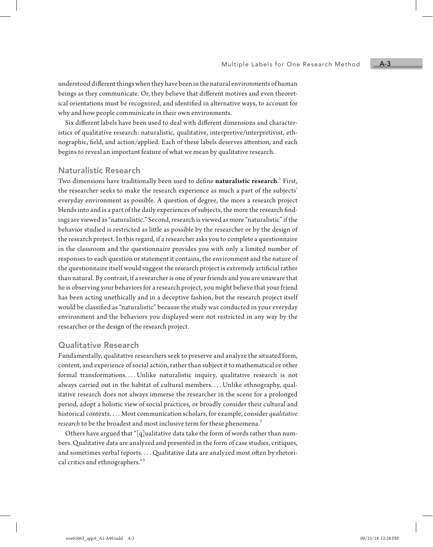understood different things when they have been in the natural environments of human beings as they communicate. Or, they believe that different motives and even theoretical orientations must be recognized, and identified in alternative ways, to account for why and how people communicate in their own environments.

Six different labels have been used to deal with different dimensions and characteristics of qualitative research: naturalistic, qualitative, interpretive/interpretivist, ethnographic, field, and action/applied. Each of these labels deserves attention, and each begins to reveal an important feature of what we mean by qualitative research.

#### Naturalistic Research

Two dimensions have traditionally been used to define **naturalistic research**. 1 First, the researcher seeks to make the research experience as much a part of the subjects' everyday environment as possible. A question of degree, the more a research project blends into and is a part of the daily experiences of subjects, the more the research findings are viewed as "naturalistic." Second, research is viewed as more "naturalistic" if the behavior studied is restricted as little as possible by the researcher or by the design of the research project. In this regard, if a researcher asks you to complete a questionnaire in the classroom and the questionnaire provides you with only a limited number of responses to each question or statement it contains, the environment and the nature of the questionnaire itself would suggest the research project is extremely artificial rather than natural. By contrast, if a researcher is one of your friends and you are unaware that he is observing your behaviors for a research project, you might believe that your friend has been acting unethically and in a deceptive fashion, but the research project itself would be classified as "naturalistic" because the study was conducted in your everyday environment and the behaviors you displayed were not restricted in any way by the researcher or the design of the research project.

#### Qualitative Research

Fundamentally, qualitative researchers seek to preserve and analyze the situated form, content, and experience of social action, rather than subject it to mathematical or other formal transformations.... Unlike naturalistic inquiry, qualitative research is not always carried out in the habitat of cultural members. . . . Unlike ethnography, qualitative research does not always immerse the researcher in the scene for a prolonged period, adopt a holistic view of social practices, or broadly consider their cultural and historical contexts. . . . Most communication scholars, for example, consider *qualitative research* to be the broadest and most inclusive term for these phenomena.<sup>2</sup>

Others have argued that "[q]ualitative data take the form of words rather than numbers. Qualitative data are analyzed and presented in the form of case studies, critiques, and sometimes verbal reports. . . . Qualitative data are analyzed most often by rhetorical critics and ethnographers."<sup>3</sup>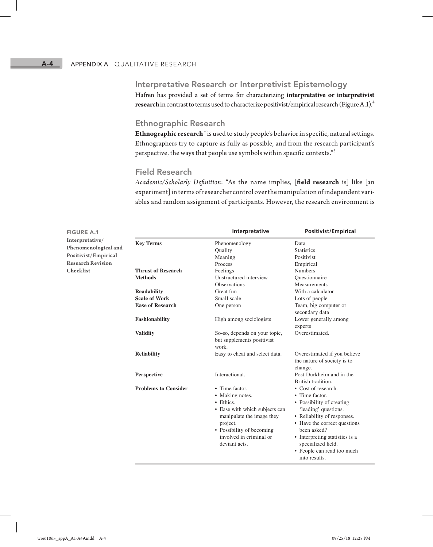Interpretative Research or Interpretivist Epistemology Hafren has provided a set of terms for characterizing **interpretative or interpretivist research** in contrast to terms used to characterize positivist/empirical research (Figure A.1).<sup>4</sup>

#### Ethnographic Research

**Ethnographic research** "is used to study people's behavior in specific, natural settings. Ethnographers try to capture as fully as possible, and from the research participant's perspective, the ways that people use symbols within specific contexts."5

#### Field Research

*Academic/Scholarly Definition*: "As the name implies, [**field research** is] like [an experiment] in terms of researcher control over the manipulation of independent variables and random assignment of participants. However, the research environment is

| <b>FIGURE A.1</b>        |                             | Interpretative                                                                                                                                                                                     | <b>Positivist/Empirical</b>                                                                                                                                                                                                                                                     |
|--------------------------|-----------------------------|----------------------------------------------------------------------------------------------------------------------------------------------------------------------------------------------------|---------------------------------------------------------------------------------------------------------------------------------------------------------------------------------------------------------------------------------------------------------------------------------|
| Interpretative/          | <b>Key Terms</b>            | Phenomenology                                                                                                                                                                                      | Data                                                                                                                                                                                                                                                                            |
| Phenomenological and     |                             | Quality                                                                                                                                                                                            | <b>Statistics</b>                                                                                                                                                                                                                                                               |
| Positivist/Empirical     |                             | Meaning                                                                                                                                                                                            | Positivist                                                                                                                                                                                                                                                                      |
| <b>Research Revision</b> |                             | Process                                                                                                                                                                                            | Empirical                                                                                                                                                                                                                                                                       |
| <b>Checklist</b>         | <b>Thrust of Research</b>   | Feelings                                                                                                                                                                                           | <b>Numbers</b>                                                                                                                                                                                                                                                                  |
|                          | <b>Methods</b>              | Unstructured interview                                                                                                                                                                             | Questionnaire                                                                                                                                                                                                                                                                   |
|                          |                             | <b>Observations</b>                                                                                                                                                                                | Measurements                                                                                                                                                                                                                                                                    |
|                          | <b>Readability</b>          | Great fun                                                                                                                                                                                          | With a calculator                                                                                                                                                                                                                                                               |
|                          | <b>Scale of Work</b>        | Small scale                                                                                                                                                                                        | Lots of people                                                                                                                                                                                                                                                                  |
|                          | <b>Ease of Research</b>     | One person                                                                                                                                                                                         | Team, big computer or<br>secondary data                                                                                                                                                                                                                                         |
|                          | Fashionability              | High among sociologists                                                                                                                                                                            | Lower generally among<br>experts                                                                                                                                                                                                                                                |
|                          | <b>Validity</b>             | So-so, depends on your topic,<br>but supplements positivist<br>work.                                                                                                                               | Overestimated.                                                                                                                                                                                                                                                                  |
|                          | <b>Reliability</b>          | Easy to cheat and select data.                                                                                                                                                                     | Overestimated if you believe<br>the nature of society is to<br>change.                                                                                                                                                                                                          |
|                          | Perspective                 | Interactional.                                                                                                                                                                                     | Post-Durkheim and in the<br>British tradition.                                                                                                                                                                                                                                  |
|                          | <b>Problems to Consider</b> | • Time factor.<br>• Making notes.<br>• Ethics.<br>• Ease with which subjects can<br>manipulate the image they<br>project.<br>• Possibility of becoming<br>involved in criminal or<br>deviant acts. | • Cost of research.<br>• Time factor.<br>• Possibility of creating<br>'leading' questions.<br>• Reliability of responses.<br>• Have the correct questions<br>been asked?<br>• Interpreting statistics is a<br>specialized field.<br>• People can read too much<br>into results. |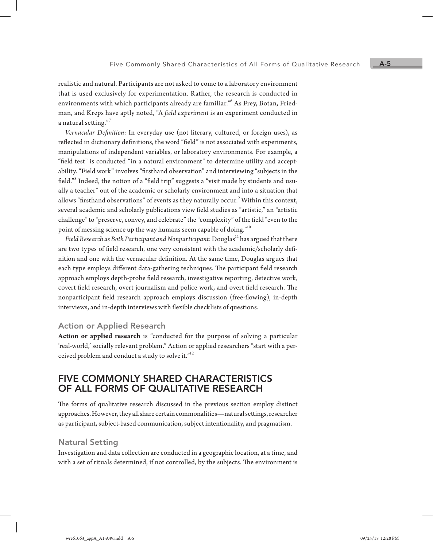realistic and natural. Participants are not asked to come to a laboratory environment that is used exclusively for experimentation. Rather, the research is conducted in environments with which participants already are familiar."6 As Frey, Botan, Friedman, and Kreps have aptly noted, "A *field experiment* is an experiment conducted in a natural setting."<sup>7</sup>

*Vernacular Definition*: In everyday use (not literary, cultured, or foreign uses), as reflected in dictionary definitions, the word "field" is not associated with experiments, manipulations of independent variables, or laboratory environments. For example, a "field test" is conducted "in a natural environment" to determine utility and acceptability. "Field work" involves "firsthand observation" and interviewing "subjects in the field."<sup>8</sup> Indeed, the notion of a "field trip" suggests a "visit made by students and usually a teacher" out of the academic or scholarly environment and into a situation that allows "firsthand observations" of events as they naturally occur.<sup>9</sup> Within this context, several academic and scholarly publications view field studies as "artistic," an "artistic challenge" to "preserve, convey, and celebrate" the "complexity" of the field "even to the point of messing science up the way humans seem capable of doing."<sup>10</sup>

*Field Research as Both Participant and Nonparticipant*: Douglas<sup>11</sup> has argued that there are two types of field research, one very consistent with the academic/scholarly definition and one with the vernacular definition. At the same time, Douglas argues that each type employs different data-gathering techniques. The participant field research approach employs depth-probe field research, investigative reporting, detective work, covert field research, overt journalism and police work, and overt field research. The nonparticipant field research approach employs discussion (free-flowing), in-depth interviews, and in-depth interviews with flexible checklists of questions.

#### Action or Applied Research

**Action or applied research** is "conducted for the purpose of solving a particular 'real-world,' socially relevant problem." Action or applied researchers "start with a perceived problem and conduct a study to solve it."12

# FIVE COMMONLY SHARED CHARACTERISTICS OF ALL FORMS OF QUALITATIVE RESEARCH

The forms of qualitative research discussed in the previous section employ distinct approaches. However, they all share certain commonalities—natural settings, researcher as participant, subject-based communication, subject intentionality, and pragmatism.

#### Natural Setting

Investigation and data collection are conducted in a geographic location, at a time, and with a set of rituals determined, if not controlled, by the subjects. The environment is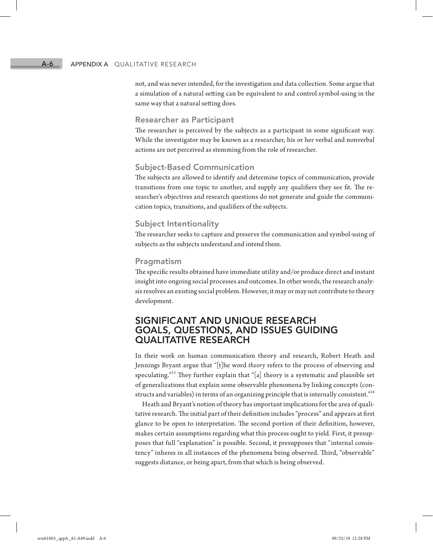not, and was never intended, for the investigation and data collection. Some argue that a simulation of a natural setting can be equivalent to and control symbol-using in the same way that a natural setting does.

#### Researcher as Participant

The researcher is perceived by the subjects as a participant in some significant way. While the investigator may be known as a researcher, his or her verbal and nonverbal actions are not perceived as stemming from the role of researcher.

#### Subject-Based Communication

The subjects are allowed to identify and determine topics of communication, provide transitions from one topic to another, and supply any qualifiers they see fit. The researcher's objectives and research questions do not generate and guide the communication topics, transitions, and qualifiers of the subjects.

#### Subject Intentionality

The researcher seeks to capture and preserve the communication and symbol-using of subjects as the subjects understand and intend them.

#### Pragmatism

The specific results obtained have immediate utility and/or produce direct and instant insight into ongoing social processes and outcomes. In other words, the research analysis resolves an existing social problem. However, it may or may not contribute to theory development.

# SIGNIFICANT AND UNIQUE RESEARCH GOALS, QUESTIONS, AND ISSUES GUIDING QUALITATIVE RESEARCH

In their work on human communication theory and research, Robert Heath and Jennings Bryant argue that "[t]he word *theory* refers to the process of observing and speculating."<sup>13</sup> They further explain that "[a] theory is a systematic and plausible set of generalizations that explain some observable phenomena by linking concepts (constructs and variables) in terms of an organizing principle that is internally consistent."<sup>14</sup>

Heath and Bryant's notion of theory has important implications for the area of qualitative research. The initial part of their definition includes "process" and appears at first glance to be open to interpretation. The second portion of their definition, however, makes certain assumptions regarding what this process ought to yield. First, it presupposes that full "explanation" is possible. Second, it presupposes that "internal consistency" inheres in all instances of the phenomena being observed. Third, "observable" suggests distance, or being apart, from that which is being observed.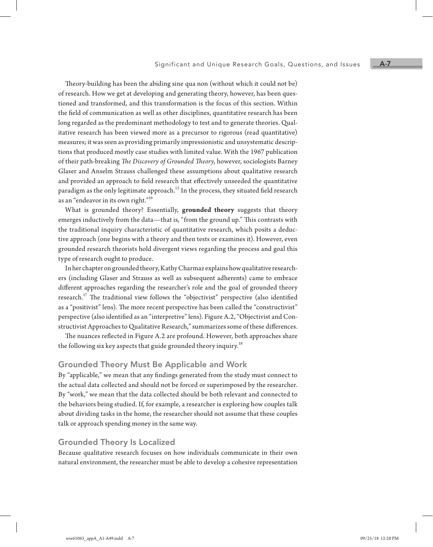Theory-building has been the abiding sine qua non (without which it could not be) of research. How we get at developing and generating theory, however, has been questioned and transformed, and this transformation is the focus of this section. Within the field of communication as well as other disciplines, quantitative research has been long regarded as the predominant methodology to test and to generate theories. Qualitative research has been viewed more as a precursor to rigorous (read quantitative) measures; it was seen as providing primarily impressionistic and unsystematic descriptions that produced mostly case studies with limited value. With the 1967 publication of their path-breaking *The Discovery of Grounded Theory*, however, sociologists Barney Glaser and Anselm Strauss challenged these assumptions about qualitative research and provided an approach to field research that effectively unseeded the quantitative paradigm as the only legitimate approach.<sup>15</sup> In the process, they situated field research as an "endeavor in its own right."<sup>16</sup>

What is grounded theory? Essentially, **grounded theory** suggests that theory emerges inductively from the data—that is, "from the ground up." This contrasts with the traditional inquiry characteristic of quantitative research, which posits a deductive approach (one begins with a theory and then tests or examines it). However, even grounded research theorists hold divergent views regarding the process and goal this type of research ought to produce.

In her chapter on grounded theory, Kathy Charmaz explains how qualitative researchers (including Glaser and Strauss as well as subsequent adherents) came to embrace different approaches regarding the researcher's role and the goal of grounded theory research.17 The traditional view follows the "objectivist" perspective (also identified as a "positivist" lens). The more recent perspective has been called the "constructivist" perspective (also identified as an "interpretive" lens). Figure A.2, "Objectivist and Constructivist Approaches to Qualitative Research," summarizes some of these differences.

The nuances reflected in Figure A.2 are profound. However, both approaches share the following six key aspects that guide grounded theory inquiry.<sup>18</sup>

#### Grounded Theory Must Be Applicable and Work

By "applicable," we mean that any findings generated from the study must connect to the actual data collected and should not be forced or superimposed by the researcher. By "work," we mean that the data collected should be both relevant and connected to the behaviors being studied. If, for example, a researcher is exploring how couples talk about dividing tasks in the home, the researcher should not assume that these couples talk or approach spending money in the same way.

#### Grounded Theory Is Localized

Because qualitative research focuses on how individuals communicate in their own natural environment, the researcher must be able to develop a cohesive representation

A-7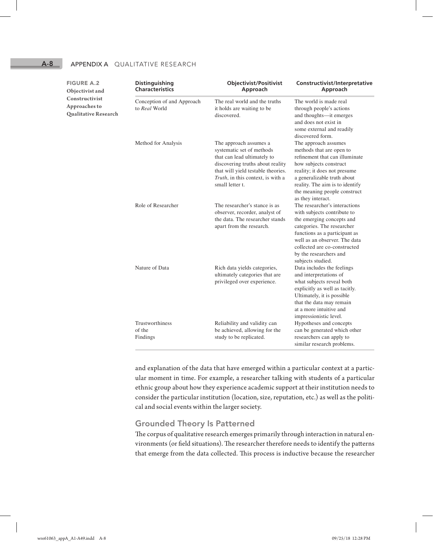#### A-8 APPENDIX A QUALITATIVE RESEARCH

| <b>FIGURE A.2</b><br>Objectivist and                           | <b>Distinguishing</b><br><b>Characteristics</b> | <b>Objectivist/Positivist</b><br>Approach                                                                                                                                                                            | Constructivist/Interpretative<br>Approach                                                                                                                                                                                                                                |  |
|----------------------------------------------------------------|-------------------------------------------------|----------------------------------------------------------------------------------------------------------------------------------------------------------------------------------------------------------------------|--------------------------------------------------------------------------------------------------------------------------------------------------------------------------------------------------------------------------------------------------------------------------|--|
| Constructivist<br>Approaches to<br><b>Qualitative Research</b> | Conception of and Approach<br>to Real World     | The real world and the truths<br>it holds are waiting to be<br>discovered.                                                                                                                                           | The world is made real<br>through people's actions<br>and thoughts-it emerges<br>and does not exist in<br>some external and readily<br>discovered form.                                                                                                                  |  |
|                                                                | Method for Analysis                             | The approach assumes a<br>systematic set of methods<br>that can lead ultimately to<br>discovering truths about reality<br>that will yield testable theories.<br>Truth, in this context, is with a<br>small letter t. | The approach assumes<br>methods that are open to<br>refinement that can illuminate<br>how subjects construct<br>reality; it does not presume<br>a generalizable truth about<br>reality. The aim is to identify<br>the meaning people construct<br>as they interact.      |  |
|                                                                | Role of Researcher                              | The researcher's stance is as<br>observer, recorder, analyst of<br>the data. The researcher stands<br>apart from the research.                                                                                       | The researcher's interactions<br>with subjects contribute to<br>the emerging concepts and<br>categories. The researcher<br>functions as a participant as<br>well as an observer. The data<br>collected are co-constructed<br>by the researchers and<br>subjects studied. |  |
|                                                                | Nature of Data                                  | Rich data yields categories,<br>ultimately categories that are<br>privileged over experience.                                                                                                                        | Data includes the feelings<br>and interpretations of<br>what subjects reveal both<br>explicitly as well as tacitly.<br>Ultimately, it is possible<br>that the data may remain<br>at a more intuitive and<br>impressionistic level.                                       |  |
|                                                                | Trustworthiness<br>of the<br>Findings           | Reliability and validity can<br>be achieved, allowing for the<br>study to be replicated.                                                                                                                             | Hypotheses and concepts<br>can be generated which other<br>researchers can apply to<br>similar research problems.                                                                                                                                                        |  |

and explanation of the data that have emerged within a particular context at a particular moment in time. For example, a researcher talking with students of a particular ethnic group about how they experience academic support at their institution needs to consider the particular institution (location, size, reputation, etc.) as well as the political and social events within the larger society.

# Grounded Theory Is Patterned

The corpus of qualitative research emerges primarily through interaction in natural environments (or field situations). The researcher therefore needs to identify the patterns that emerge from the data collected. This process is inductive because the researcher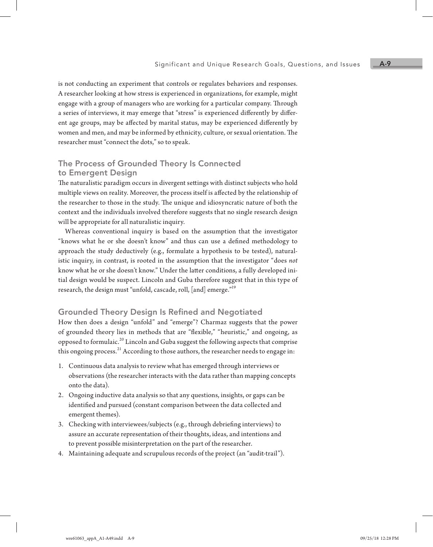is not conducting an experiment that controls or regulates behaviors and responses. A researcher looking at how stress is experienced in organizations, for example, might engage with a group of managers who are working for a particular company. Through a series of interviews, it may emerge that "stress" is experienced differently by different age groups, may be affected by marital status, may be experienced differently by women and men, and may be informed by ethnicity, culture, or sexual orientation. The researcher must "connect the dots," so to speak.

# The Process of Grounded Theory Is Connected to Emergent Design

The naturalistic paradigm occurs in divergent settings with distinct subjects who hold multiple views on reality. Moreover, the process itself is affected by the relationship of the researcher to those in the study. The unique and idiosyncratic nature of both the context and the individuals involved therefore suggests that no single research design will be appropriate for all naturalistic inquiry.

Whereas conventional inquiry is based on the assumption that the investigator "knows what he or she doesn't know" and thus can use a defined methodology to approach the study deductively (e.g., formulate a hypothesis to be tested), naturalistic inquiry, in contrast, is rooted in the assumption that the investigator "does *not* know what he or she doesn't know." Under the latter conditions, a fully developed initial design would be suspect. Lincoln and Guba therefore suggest that in this type of research, the design must "unfold, cascade, roll, [and] emerge."<sup>19</sup>

#### Grounded Theory Design Is Refined and Negotiated

How then does a design "unfold" and "emerge"? Charmaz suggests that the power of grounded theory lies in methods that are "flexible," "heuristic," and ongoing, as opposed to formulaic.<sup>20</sup> Lincoln and Guba suggest the following aspects that comprise this ongoing process. $^{21}$  According to those authors, the researcher needs to engage in:

- 1. Continuous data analysis to review what has emerged through interviews or observations (the researcher interacts with the data rather than mapping concepts onto the data).
- 2. Ongoing inductive data analysis so that any questions, insights, or gaps can be identified and pursued (constant comparison between the data collected and emergent themes).
- 3. Checking with interviewees/subjects (e.g., through debriefing interviews) to assure an accurate representation of their thoughts, ideas, and intentions and to prevent possible misinterpretation on the part of the researcher.
- 4. Maintaining adequate and scrupulous records of the project (an "audit-trail").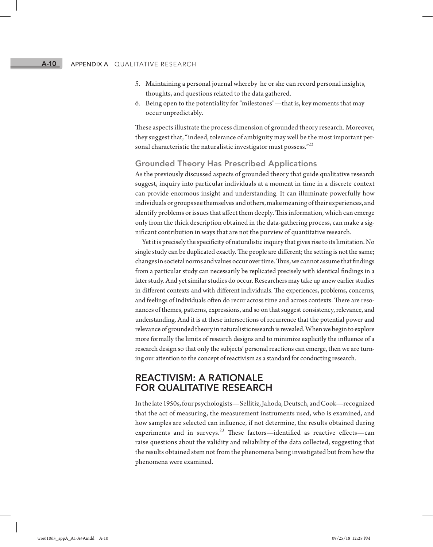- 5. Maintaining a personal journal whereby he or she can record personal insights, thoughts, and questions related to the data gathered.
- 6. Being open to the potentiality for "milestones"—that is, key moments that may occur unpredictably.

These aspects illustrate the process dimension of grounded theory research. Moreover, they suggest that, "indeed, tolerance of ambiguity may well be the most important personal characteristic the naturalistic investigator must possess." $^{22}$ 

#### Grounded Theory Has Prescribed Applications

As the previously discussed aspects of grounded theory that guide qualitative research suggest, inquiry into particular individuals at a moment in time in a discrete context can provide enormous insight and understanding. It can illuminate powerfully how individuals or groups see themselves and others, make meaning of their experiences, and identify problems or issues that affect them deeply. This information, which can emerge only from the thick description obtained in the data-gathering process, can make a significant contribution in ways that are not the purview of quantitative research.

Yet it is precisely the specificity of naturalistic inquiry that gives rise to its limitation. No single study can be duplicated exactly. The people are different; the setting is not the same; changes in societal norms and values occur over time. Thus, we cannot assume that findings from a particular study can necessarily be replicated precisely with identical findings in a later study. And yet similar studies do occur. Researchers may take up anew earlier studies in different contexts and with different individuals. The experiences, problems, concerns, and feelings of individuals often do recur across time and across contexts. There are resonances of themes, patterns, expressions, and so on that suggest consistency, relevance, and understanding. And it is at these intersections of recurrence that the potential power and relevance of grounded theory in naturalistic research is revealed. When we begin to explore more formally the limits of research designs and to minimize explicitly the influence of a research design so that only the subjects' personal reactions can emerge, then we are turning our attention to the concept of reactivism as a standard for conducting research.

# REACTIVISM: A RATIONALE FOR QUALITATIVE RESEARCH

In the late 1950s, four psychologists—Sellitiz, Jahoda, Deutsch, and Cook—recognized that the act of measuring, the measurement instruments used, who is examined, and how samples are selected can influence, if not determine, the results obtained during experiments and in surveys.<sup>23</sup> These factors—identified as reactive effects—can raise questions about the validity and reliability of the data collected, suggesting that the results obtained stem not from the phenomena being investigated but from how the phenomena were examined.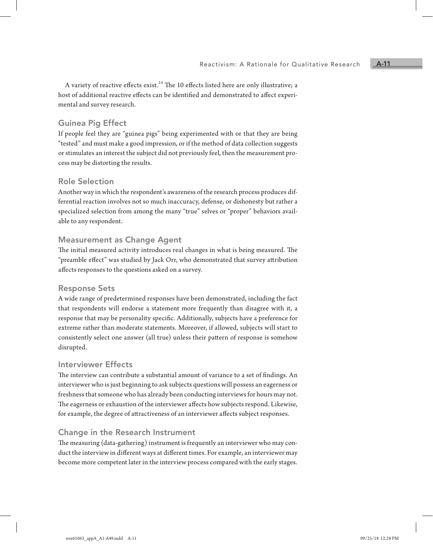A variety of reactive effects exist.<sup>24</sup> The 10 effects listed here are only illustrative; a host of additional reactive effects can be identified and demonstrated to affect experimental and survey research.

# Guinea Pig Effect

If people feel they are "guinea pigs" being experimented with or that they are being "tested" and must make a good impression, or if the method of data collection suggests or stimulates an interest the subject did not previously feel, then the measurement process may be distorting the results.

#### Role Selection

Another way in which the respondent's awareness of the research process produces differential reaction involves not so much inaccuracy, defense, or dishonesty but rather a specialized selection from among the many "true" selves or "proper" behaviors available to any respondent.

## Measurement as Change Agent

The initial measured activity introduces real changes in what is being measured. The "preamble effect" was studied by Jack Orr, who demonstrated that survey attribution affects responses to the questions asked on a survey.

#### Response Sets

A wide range of predetermined responses have been demonstrated, including the fact that respondents will endorse a statement more frequently than disagree with it, a response that may be personality specific. Additionally, subjects have a preference for extreme rather than moderate statements. Moreover, if allowed, subjects will start to consistently select one answer (all true) unless their pattern of response is somehow disrupted.

#### Interviewer Effects

The interview can contribute a substantial amount of variance to a set of findings. An interviewer who is just beginning to ask subjects questions will possess an eagerness or freshness that someone who has already been conducting interviews for hours may not. The eagerness or exhaustion of the interviewer affects how subjects respond. Likewise, for example, the degree of attractiveness of an interviewer affects subject responses.

#### Change in the Research Instrument

The measuring (data-gathering) instrument is frequently an interviewer who may conduct the interview in different ways at different times. For example, an interviewer may become more competent later in the interview process compared with the early stages.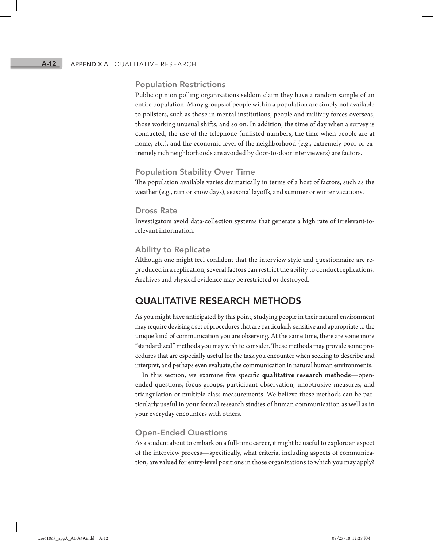A-12 APPENDIX A QUALITATIVE RESEARCH

#### Population Restrictions

Public opinion polling organizations seldom claim they have a random sample of an entire population. Many groups of people within a population are simply not available to pollsters, such as those in mental institutions, people and military forces overseas, those working unusual shifts, and so on. In addition, the time of day when a survey is conducted, the use of the telephone (unlisted numbers, the time when people are at home, etc.), and the economic level of the neighborhood (e.g., extremely poor or extremely rich neighborhoods are avoided by door-to-door interviewers) are factors.

#### Population Stability Over Time

The population available varies dramatically in terms of a host of factors, such as the weather (e.g., rain or snow days), seasonal layoffs, and summer or winter vacations.

#### Dross Rate

Investigators avoid data-collection systems that generate a high rate of irrelevant-torelevant information.

#### Ability to Replicate

Although one might feel confident that the interview style and questionnaire are reproduced in a replication, several factors can restrict the ability to conduct replications. Archives and physical evidence may be restricted or destroyed.

# QUALITATIVE RESEARCH METHODS

As you might have anticipated by this point, studying people in their natural environment may require devising a set of procedures that are particularly sensitive and appropriate to the unique kind of communication you are observing. At the same time, there are some more "standardized" methods you may wish to consider. These methods may provide some procedures that are especially useful for the task you encounter when seeking to describe and interpret, and perhaps even evaluate, the communication in natural human environments.

In this section, we examine five specific **qualitative research methods**—openended questions, focus groups, participant observation, unobtrusive measures, and triangulation or multiple class measurements. We believe these methods can be particularly useful in your formal research studies of human communication as well as in your everyday encounters with others.

#### Open-Ended Questions

As a student about to embark on a full-time career, it might be useful to explore an aspect of the interview process—specifically, what criteria, including aspects of communication, are valued for entry-level positions in those organizations to which you may apply?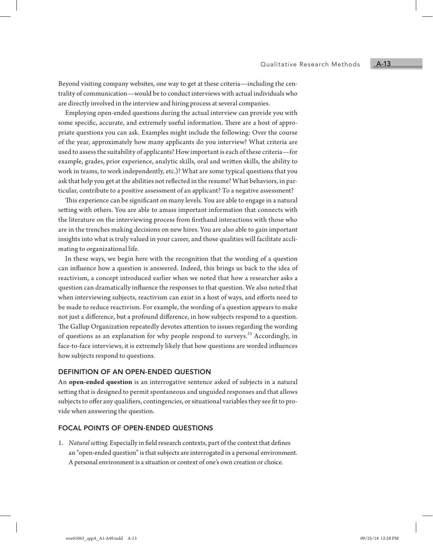Beyond visiting company websites, one way to get at these criteria—including the centrality of communication—would be to conduct interviews with actual individuals who are directly involved in the interview and hiring process at several companies.

Employing open-ended questions during the actual interview can provide you with some specific, accurate, and extremely useful information. There are a host of appropriate questions you can ask. Examples might include the following: Over the course of the year, approximately how many applicants do you interview? What criteria are used to assess the suitability of applicants? How important is each of these criteria—for example, grades, prior experience, analytic skills, oral and written skills, the ability to work in teams, to work independently, etc.)? What are some typical questions that you ask that help you get at the abilities not reflected in the resume? What behaviors, in particular, contribute to a positive assessment of an applicant? To a negative assessment?

This experience can be significant on many levels. You are able to engage in a natural setting with others. You are able to amass important information that connects with the literature on the interviewing process from firsthand interactions with those who are in the trenches making decisions on new hires. You are also able to gain important insights into what is truly valued in your career, and those qualities will facilitate acclimating to organizational life.

In these ways, we begin here with the recognition that the wording of a question can influence how a question is answered. Indeed, this brings us back to the idea of reactivism, a concept introduced earlier when we noted that how a researcher asks a question can dramatically influence the responses to that question. We also noted that when interviewing subjects, reactivism can exist in a host of ways, and efforts need to be made to reduce reactivism. For example, the wording of a question appears to make not just a difference, but a profound difference, in how subjects respond to a question. The Gallup Organization repeatedly devotes attention to issues regarding the wording of questions as an explanation for why people respond to surveys.<sup>25</sup> Accordingly, in face-to-face interviews, it is extremely likely that how questions are worded influences how subjects respond to questions.

#### DEFINITION OF AN OPEN-ENDED QUESTION

An **open-ended question** is an interrogative sentence asked of subjects in a natural setting that is designed to permit spontaneous and unguided responses and that allows subjects to offer any qualifiers, contingencies, or situational variables they see fit to provide when answering the question.

#### FOCAL POINTS OF OPEN-ENDED QUESTIONS

1. *Natural setting.* Especially in field research contexts, part of the context that defines an "open-ended question" is that subjects are interrogated in a personal environment. A personal environment is a situation or context of one's own creation or choice.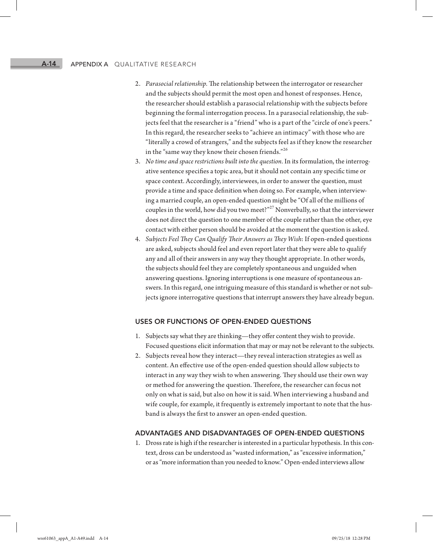- 2. *Parasocial relationship.* The relationship between the interrogator or researcher and the subjects should permit the most open and honest of responses. Hence, the researcher should establish a parasocial relationship with the subjects before beginning the formal interrogation process. In a parasocial relationship, the subjects feel that the researcher is a "friend" who is a part of the "circle of one's peers." In this regard, the researcher seeks to "achieve an intimacy" with those who are "literally a crowd of strangers," and the subjects feel as if they know the researcher in the "same way they know their chosen friends."<sup>26</sup>
- 3. *No time and space restrictions built into the question.* In its formulation, the interrogative sentence specifies a topic area, but it should not contain any specific time or space context. Accordingly, interviewees, in order to answer the question, must provide a time and space definition when doing so. For example, when interviewing a married couple, an open-ended question might be "Of all of the millions of couples in the world, how did you two meet?"<sup>27</sup> Nonverbally, so that the interviewer does not direct the question to one member of the couple rather than the other, eye contact with either person should be avoided at the moment the question is asked.
- 4. *Subjects Feel They Can Qualify Their Answers as They Wish*: If open-ended questions are asked, subjects should feel and even report later that they were able to qualify any and all of their answers in any way they thought appropriate. In other words, the subjects should feel they are completely spontaneous and unguided when answering questions. Ignoring interruptions is one measure of spontaneous answers. In this regard, one intriguing measure of this standard is whether or not subjects ignore interrogative questions that interrupt answers they have already begun.

### USES OR FUNCTIONS OF OPEN-ENDED QUESTIONS

- 1. Subjects say what they are thinking—they offer content they wish to provide. Focused questions elicit information that may or may not be relevant to the subjects.
- 2. Subjects reveal how they interact—they reveal interaction strategies as well as content. An effective use of the open-ended question should allow subjects to interact in any way they wish to when answering. They should use their own way or method for answering the question. Therefore, the researcher can focus not only on what is said, but also on how it is said. When interviewing a husband and wife couple, for example, it frequently is extremely important to note that the husband is always the first to answer an open-ended question.

#### ADVANTAGES AND DISADVANTAGES OF OPEN-ENDED QUESTIONS

1. Dross rate is high if the researcher is interested in a particular hypothesis. In this context, dross can be understood as "wasted information," as "excessive information," or as "more information than you needed to know." Open-ended interviews allow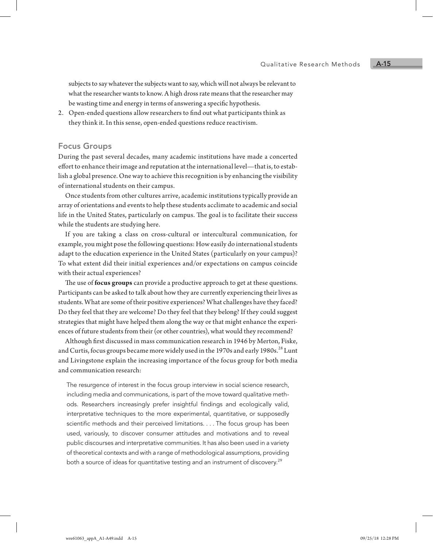subjects to say whatever the subjects want to say, which will not always be relevant to what the researcher wants to know. A high dross rate means that the researcher may be wasting time and energy in terms of answering a specific hypothesis.

2. Open-ended questions allow researchers to find out what participants think as they think it. In this sense, open-ended questions reduce reactivism.

#### Focus Groups

During the past several decades, many academic institutions have made a concerted effort to enhance their image and reputation at the international level—that is, to establish a global presence. One way to achieve this recognition is by enhancing the visibility of international students on their campus.

Once students from other cultures arrive, academic institutions typically provide an array of orientations and events to help these students acclimate to academic and social life in the United States, particularly on campus. The goal is to facilitate their success while the students are studying here.

If you are taking a class on cross-cultural or intercultural communication, for example, you might pose the following questions: How easily do international students adapt to the education experience in the United States (particularly on your campus)? To what extent did their initial experiences and/or expectations on campus coincide with their actual experiences?

The use of **focus groups** can provide a productive approach to get at these questions. Participants can be asked to talk about how they are currently experiencing their lives as students. What are some of their positive experiences? What challenges have they faced? Do they feel that they are welcome? Do they feel that they belong? If they could suggest strategies that might have helped them along the way or that might enhance the experiences of future students from their (or other countries), what would they recommend?

Although first discussed in mass communication research in 1946 by Merton, Fiske, and Curtis, focus groups became more widely used in the 1970s and early 1980s.<sup>28</sup> Lunt and Livingstone explain the increasing importance of the focus group for both media and communication research:

The resurgence of interest in the focus group interview in social science research, including media and communications, is part of the move toward qualitative methods. Researchers increasingly prefer insightful findings and ecologically valid, interpretative techniques to the more experimental, quantitative, or supposedly scientific methods and their perceived limitations. . . . The focus group has been used, variously, to discover consumer attitudes and motivations and to reveal public discourses and interpretative communities. It has also been used in a variety of theoretical contexts and with a range of methodological assumptions, providing both a source of ideas for quantitative testing and an instrument of discovery.<sup>29</sup>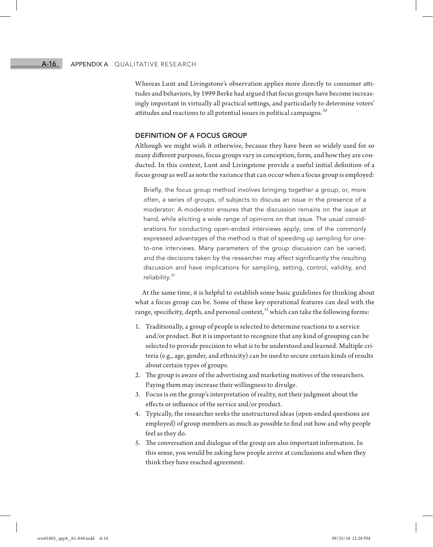Whereas Lunt and Livingstone's observation applies more directly to consumer attitudes and behaviors, by 1999 Berke had argued that focus groups have become increasingly important in virtually all practical settings, and particularly to determine voters' attitudes and reactions to all potential issues in political campaigns. $^{\rm 30}$ 

#### DEFINITION OF A FOCUS GROUP

Although we might wish it otherwise, because they have been so widely used for so many different purposes, focus groups vary in conception, form, and how they are conducted. In this context, Lunt and Livingstone provide a useful initial definition of a focus group as well as note the variance that can occur when a focus group is employed:

Briefly, the focus group method involves bringing together a group, or, more often, a series of groups, of subjects to discuss an issue in the presence of a moderator. A moderator ensures that the discussion remains on the issue at hand, while eliciting a wide range of opinions on that issue. The usual considerations for conducting open-ended interviews apply; one of the commonly expressed advantages of the method is that of speeding up sampling for oneto-one interviews. Many parameters of the group discussion can be varied, and the decisions taken by the researcher may affect significantly the resulting discussion and have implications for sampling, setting, control, validity, and reliability.<sup>31</sup>

At the same time, it is helpful to establish some basic guidelines for thinking about what a focus group can be. Some of these key operational features can deal with the range, specificity, depth, and personal context,  $^{32}$  which can take the following forms:

- 1. Traditionally, a group of people is selected to determine reactions to a service and/or product. But it is important to recognize that any kind of grouping can be selected to provide precision to what is to be understood and learned. Multiple criteria (e.g., age, gender, and ethnicity) can be used to secure certain kinds of results about certain types of groups.
- 2. The group is aware of the advertising and marketing motives of the researchers. Paying them may increase their willingness to divulge.
- 3. Focus is on the group's interpretation of reality, not their judgment about the effects or influence of the service and/or product.
- 4. Typically, the researcher seeks the unstructured ideas (open-ended questions are employed) of group members as much as possible to find out how and why people feel as they do.
- 5. The conversation and dialogue of the group are also important information. In this sense, you would be asking how people arrive at conclusions and when they think they have reached agreement.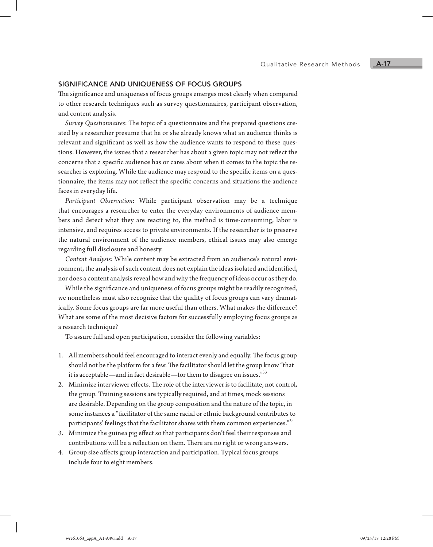#### SIGNIFICANCE AND UNIQUENESS OF FOCUS GROUPS

The significance and uniqueness of focus groups emerges most clearly when compared to other research techniques such as survey questionnaires, participant observation, and content analysis.

*Survey Questionnaires*: The topic of a questionnaire and the prepared questions created by a researcher presume that he or she already knows what an audience thinks is relevant and significant as well as how the audience wants to respond to these questions. However, the issues that a researcher has about a given topic may not reflect the concerns that a specific audience has or cares about when it comes to the topic the researcher is exploring. While the audience may respond to the specific items on a questionnaire, the items may not reflect the specific concerns and situations the audience faces in everyday life.

*Participant Observation*: While participant observation may be a technique that encourages a researcher to enter the everyday environments of audience members and detect what they are reacting to, the method is time-consuming, labor is intensive, and requires access to private environments. If the researcher is to preserve the natural environment of the audience members, ethical issues may also emerge regarding full disclosure and honesty.

*Content Analysis*: While content may be extracted from an audience's natural environment, the analysis of such content does not explain the ideas isolated and identified, nor does a content analysis reveal how and why the frequency of ideas occur as they do.

While the significance and uniqueness of focus groups might be readily recognized, we nonetheless must also recognize that the quality of focus groups can vary dramatically. Some focus groups are far more useful than others. What makes the difference? What are some of the most decisive factors for successfully employing focus groups as a research technique?

To assure full and open participation, consider the following variables:

- 1. All members should feel encouraged to interact evenly and equally. The focus group should not be the platform for a few. The facilitator should let the group know "that it is acceptable—and in fact desirable—for them to disagree on issues."<sup>33</sup>
- 2. Minimize interviewer effects. The role of the interviewer is to facilitate, not control, the group. Training sessions are typically required, and at times, mock sessions are desirable. Depending on the group composition and the nature of the topic, in some instances a "facilitator of the same racial or ethnic background contributes to participants' feelings that the facilitator shares with them common experiences."<sup>34</sup>
- 3. Minimize the guinea pig effect so that participants don't feel their responses and contributions will be a reflection on them. There are no right or wrong answers.
- 4. Group size affects group interaction and participation. Typical focus groups include four to eight members.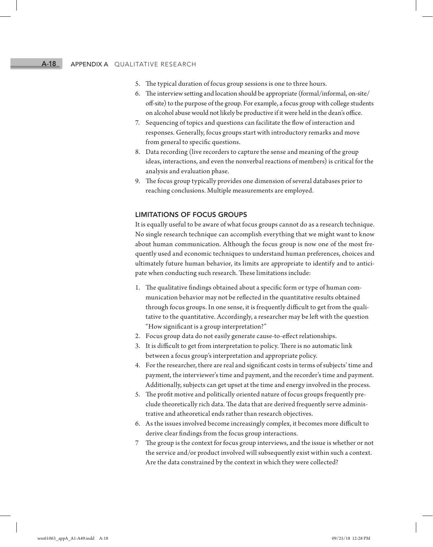#### A-18 APPENDIX A QUALITATIVE RESEARCH

- 5. The typical duration of focus group sessions is one to three hours.
- 6. The interview setting and location should be appropriate (formal/informal, on-site/ off-site) to the purpose of the group. For example, a focus group with college students on alcohol abuse would not likely be productive if it were held in the dean's office.
- 7. Sequencing of topics and questions can facilitate the flow of interaction and responses. Generally, focus groups start with introductory remarks and move from general to specific questions.
- 8. Data recording (live recorders to capture the sense and meaning of the group ideas, interactions, and even the nonverbal reactions of members) is critical for the analysis and evaluation phase.
- 9. The focus group typically provides one dimension of several databases prior to reaching conclusions. Multiple measurements are employed.

#### LIMITATIONS OF FOCUS GROUPS

It is equally useful to be aware of what focus groups cannot do as a research technique. No single research technique can accomplish everything that we might want to know about human communication. Although the focus group is now one of the most frequently used and economic techniques to understand human preferences, choices and ultimately future human behavior, its limits are appropriate to identify and to anticipate when conducting such research. These limitations include:

- 1. The qualitative findings obtained about a specific form or type of human communication behavior may not be reflected in the quantitative results obtained through focus groups. In one sense, it is frequently difficult to get from the qualitative to the quantitative. Accordingly, a researcher may be left with the question "How significant is a group interpretation?"
- 2. Focus group data do not easily generate cause-to-effect relationships.
- 3. It is difficult to get from interpretation to policy. There is no automatic link between a focus group's interpretation and appropriate policy.
- 4. For the researcher, there are real and significant costs in terms of subjects' time and payment, the interviewer's time and payment, and the recorder's time and payment. Additionally, subjects can get upset at the time and energy involved in the process.
- 5. The profit motive and politically oriented nature of focus groups frequently preclude theoretically rich data. The data that are derived frequently serve administrative and atheoretical ends rather than research objectives.
- 6. As the issues involved become increasingly complex, it becomes more difficult to derive clear findings from the focus group interactions.
- 7 The group is the context for focus group interviews, and the issue is whether or not the service and/or product involved will subsequently exist within such a context. Are the data constrained by the context in which they were collected?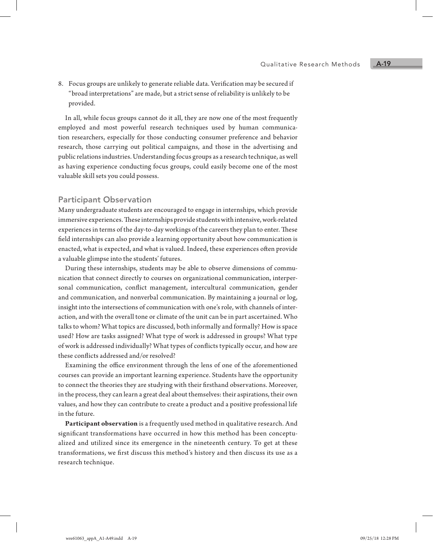8. Focus groups are unlikely to generate reliable data. Verification may be secured if "broad interpretations" are made, but a strict sense of reliability is unlikely to be provided.

In all, while focus groups cannot do it all, they are now one of the most frequently employed and most powerful research techniques used by human communication researchers, especially for those conducting consumer preference and behavior research, those carrying out political campaigns, and those in the advertising and public relations industries. Understanding focus groups as a research technique, as well as having experience conducting focus groups, could easily become one of the most valuable skill sets you could possess.

#### Participant Observation

Many undergraduate students are encouraged to engage in internships, which provide immersive experiences. These internships provide students with intensive, work-related experiences in terms of the day-to-day workings of the careers they plan to enter. These field internships can also provide a learning opportunity about how communication is enacted, what is expected, and what is valued. Indeed, these experiences often provide a valuable glimpse into the students' futures.

During these internships, students may be able to observe dimensions of communication that connect directly to courses on organizational communication, interpersonal communication, conflict management, intercultural communication, gender and communication, and nonverbal communication. By maintaining a journal or log, insight into the intersections of communication with one's role, with channels of interaction, and with the overall tone or climate of the unit can be in part ascertained. Who talks to whom? What topics are discussed, both informally and formally? How is space used? How are tasks assigned? What type of work is addressed in groups? What type of work is addressed individually? What types of conflicts typically occur, and how are these conflicts addressed and/or resolved?

Examining the office environment through the lens of one of the aforementioned courses can provide an important learning experience. Students have the opportunity to connect the theories they are studying with their firsthand observations. Moreover, in the process, they can learn a great deal about themselves: their aspirations, their own values, and how they can contribute to create a product and a positive professional life in the future.

**Participant observation** is a frequently used method in qualitative research. And significant transformations have occurred in how this method has been conceptualized and utilized since its emergence in the nineteenth century. To get at these transformations, we first discuss this method's history and then discuss its use as a research technique.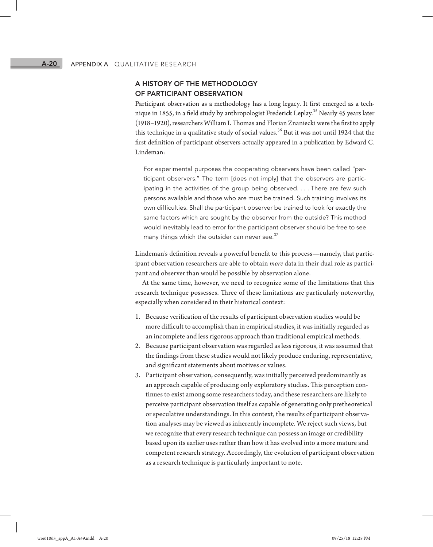# A HISTORY OF THE METHODOLOGY OF PARTICIPANT OBSERVATION

Participant observation as a methodology has a long legacy. It first emerged as a technique in 1855, in a field study by anthropologist Frederick Leplay.<sup>35</sup> Nearly 45 years later (1918–1920), researchers William I. Thomas and Florian Znaniecki were the first to apply this technique in a qualitative study of social values. $^{36}$  But it was not until 1924 that the first definition of participant observers actually appeared in a publication by Edward C. Lindeman:

For experimental purposes the cooperating observers have been called "participant observers." The term [does not imply] that the observers are participating in the activities of the group being observed. . . . There are few such persons available and those who are must be trained. Such training involves its own difficulties. Shall the participant observer be trained to look for exactly the same factors which are sought by the observer from the outside? This method would inevitably lead to error for the participant observer should be free to see many things which the outsider can never see.<sup>37</sup>

Lindeman's definition reveals a powerful benefit to this process—namely, that participant observation researchers are able to obtain *more* data in their dual role as participant and observer than would be possible by observation alone.

At the same time, however, we need to recognize some of the limitations that this research technique possesses. Three of these limitations are particularly noteworthy, especially when considered in their historical context:

- 1. Because verification of the results of participant observation studies would be more difficult to accomplish than in empirical studies, it was initially regarded as an incomplete and less rigorous approach than traditional empirical methods.
- 2. Because participant observation was regarded as less rigorous, it was assumed that the findings from these studies would not likely produce enduring, representative, and significant statements about motives or values.
- 3. Participant observation, consequently, was initially perceived predominantly as an approach capable of producing only exploratory studies. This perception continues to exist among some researchers today, and these researchers are likely to perceive participant observation itself as capable of generating only pretheoretical or speculative understandings. In this context, the results of participant observation analyses may be viewed as inherently incomplete. We reject such views, but we recognize that every research technique can possess an image or credibility based upon its earlier uses rather than how it has evolved into a more mature and competent research strategy. Accordingly, the evolution of participant observation as a research technique is particularly important to note.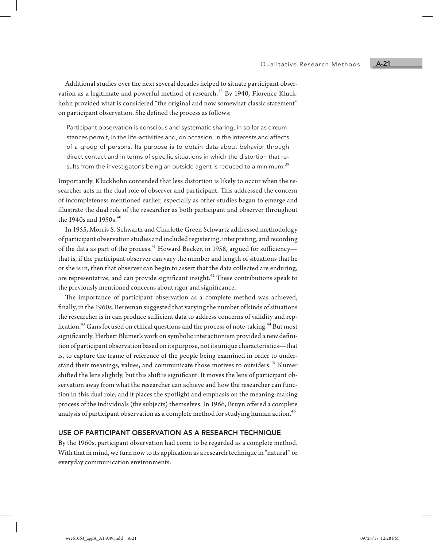Additional studies over the next several decades helped to situate participant observation as a legitimate and powerful method of research.<sup>38</sup> By 1940, Florence Kluckhohn provided what is considered "the original and now somewhat classic statement" on participant observation. She defined the process as follows:

Participant observation is conscious and systematic sharing, in so far as circumstances permit, in the life-activities and, on occasion, in the interests and affects of a group of persons. Its purpose is to obtain data about behavior through direct contact and in terms of specific situations in which the distortion that results from the investigator's being an outside agent is reduced to a minimum.<sup>39</sup>

Importantly, Kluckhohn contended that less distortion is likely to occur when the researcher acts in the dual role of observer and participant. This addressed the concern of incompleteness mentioned earlier, especially as other studies began to emerge and illustrate the dual role of the researcher as both participant and observer throughout the 1940s and 1950s. $40$ 

In 1955, Morris S. Schwartz and Charlotte Green Schwartz addressed methodology of participant observation studies and included registering, interpreting, and recording of the data as part of the process.<sup>41</sup> Howard Becker, in 1958, argued for sufficiencythat is, if the participant observer can vary the number and length of situations that he or she is in, then that observer can begin to assert that the data collected are enduring, are representative, and can provide significant insight.<sup>42</sup> These contributions speak to the previously mentioned concerns about rigor and significance.

The importance of participant observation as a complete method was achieved, finally, in the 1960s. Berreman suggested that varying the number of kinds of situations the researcher is in can produce sufficient data to address concerns of validity and replication.<sup>43</sup> Gans focused on ethical questions and the process of note-taking.<sup>44</sup> But most significantly, Herbert Blumer's work on symbolic interactionism provided a new definition of participant observation based on its purpose, not its unique characteristics—that is, to capture the frame of reference of the people being examined in order to understand their meanings, values, and communicate those motives to outsiders.<sup>45</sup> Blumer shifted the lens slightly, but this shift is significant. It moves the lens of participant observation away from what the researcher can achieve and how the researcher can function in this dual role, and it places the spotlight and emphasis on the meaning-making process of the individuals (the subjects) themselves. In 1966, Bruyn offered a complete analysis of participant observation as a complete method for studying human action.<sup>46</sup>

#### USE OF PARTICIPANT OBSERVATION AS A RESEARCH TECHNIQUE

By the 1960s, participant observation had come to be regarded as a complete method. With that in mind, we turn now to its application as a research technique in "natural" or everyday communication environments.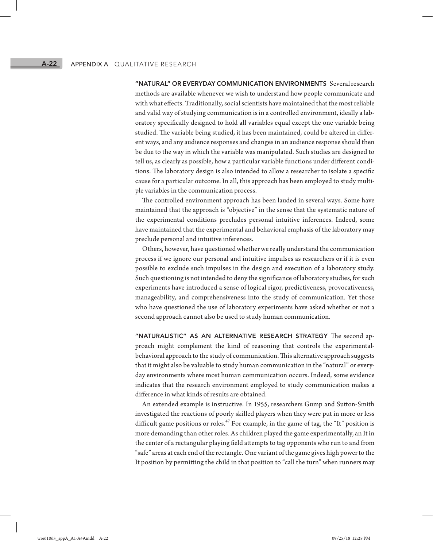"NATURAL" OR EVERYDAY COMMUNICATION ENVIRONMENTS Several research methods are available whenever we wish to understand how people communicate and with what effects. Traditionally, social scientists have maintained that the most reliable and valid way of studying communication is in a controlled environment, ideally a laboratory specifically designed to hold all variables equal except the one variable being studied. The variable being studied, it has been maintained, could be altered in different ways, and any audience responses and changes in an audience response should then be due to the way in which the variable was manipulated. Such studies are designed to tell us, as clearly as possible, how a particular variable functions under different conditions. The laboratory design is also intended to allow a researcher to isolate a specific cause for a particular outcome. In all, this approach has been employed to study multiple variables in the communication process.

The controlled environment approach has been lauded in several ways. Some have maintained that the approach is "objective" in the sense that the systematic nature of the experimental conditions precludes personal intuitive inferences. Indeed, some have maintained that the experimental and behavioral emphasis of the laboratory may preclude personal and intuitive inferences.

Others, however, have questioned whether we really understand the communication process if we ignore our personal and intuitive impulses as researchers or if it is even possible to exclude such impulses in the design and execution of a laboratory study. Such questioning is not intended to deny the significance of laboratory studies, for such experiments have introduced a sense of logical rigor, predictiveness, provocativeness, manageability, and comprehensiveness into the study of communication. Yet those who have questioned the use of laboratory experiments have asked whether or not a second approach cannot also be used to study human communication.

"NATURALISTIC" AS AN ALTERNATIVE RESEARCH STRATEGY The second approach might complement the kind of reasoning that controls the experimentalbehavioral approach to the study of communication. This alternative approach suggests that it might also be valuable to study human communication in the "natural" or everyday environments where most human communication occurs. Indeed, some evidence indicates that the research environment employed to study communication makes a difference in what kinds of results are obtained.

An extended example is instructive. In 1955, researchers Gump and Sutton-Smith investigated the reactions of poorly skilled players when they were put in more or less difficult game positions or roles.<sup>47</sup> For example, in the game of tag, the "It" position is more demanding than other roles. As children played the game experimentally, an It in the center of a rectangular playing field attempts to tag opponents who run to and from "safe" areas at each end of the rectangle. One variant of the game gives high power to the It position by permitting the child in that position to "call the turn" when runners may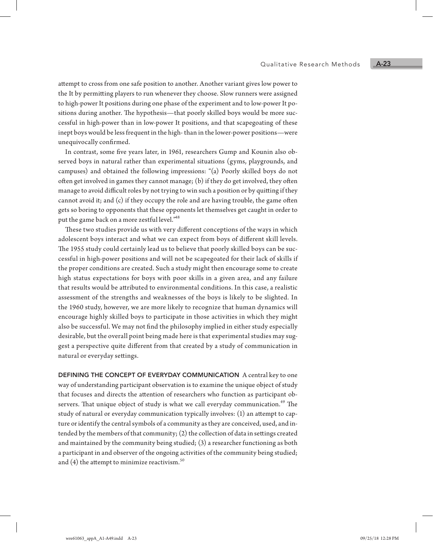attempt to cross from one safe position to another. Another variant gives low power to the It by permitting players to run whenever they choose. Slow runners were assigned to high-power It positions during one phase of the experiment and to low-power It positions during another. The hypothesis—that poorly skilled boys would be more successful in high-power than in low-power It positions, and that scapegoating of these inept boys would be less frequent in the high- than in the lower-power positions—were unequivocally confirmed.

In contrast, some five years later, in 1961, researchers Gump and Kounin also observed boys in natural rather than experimental situations (gyms, playgrounds, and campuses) and obtained the following impressions: "(a) Poorly skilled boys do not often get involved in games they cannot manage; (b) if they do get involved, they often manage to avoid difficult roles by not trying to win such a position or by quitting if they cannot avoid it; and (c) if they occupy the role and are having trouble, the game often gets so boring to opponents that these opponents let themselves get caught in order to put the game back on a more zestful level."<sup>48</sup>

These two studies provide us with very different conceptions of the ways in which adolescent boys interact and what we can expect from boys of different skill levels. The 1955 study could certainly lead us to believe that poorly skilled boys can be successful in high-power positions and will not be scapegoated for their lack of skills if the proper conditions are created. Such a study might then encourage some to create high status expectations for boys with poor skills in a given area, and any failure that results would be attributed to environmental conditions. In this case, a realistic assessment of the strengths and weaknesses of the boys is likely to be slighted. In the 1960 study, however, we are more likely to recognize that human dynamics will encourage highly skilled boys to participate in those activities in which they might also be successful. We may not find the philosophy implied in either study especially desirable, but the overall point being made here is that experimental studies may suggest a perspective quite different from that created by a study of communication in natural or everyday settings.

DEFINING THE CONCEPT OF EVERYDAY COMMUNICATION A central key to one way of understanding participant observation is to examine the unique object of study that focuses and directs the attention of researchers who function as participant observers. That unique object of study is what we call everyday communication.<sup>49</sup> The study of natural or everyday communication typically involves: (1) an attempt to capture or identify the central symbols of a community as they are conceived, used, and intended by the members of that community; (2) the collection of data in settings created and maintained by the community being studied; (3) a researcher functioning as both a participant in and observer of the ongoing activities of the community being studied; and  $(4)$  the attempt to minimize reactivism.<sup>50</sup>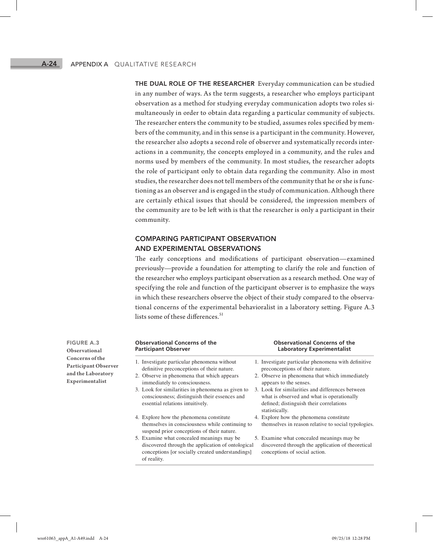THE DUAL ROLE OF THE RESEARCHER Everyday communication can be studied in any number of ways. As the term suggests, a researcher who employs participant observation as a method for studying everyday communication adopts two roles simultaneously in order to obtain data regarding a particular community of subjects. The researcher enters the community to be studied, assumes roles specified by members of the community, and in this sense is a participant in the community. However, the researcher also adopts a second role of observer and systematically records interactions in a community, the concepts employed in a community, and the rules and norms used by members of the community. In most studies, the researcher adopts the role of participant only to obtain data regarding the community. Also in most studies, the researcher does not tell members of the community that he or she is functioning as an observer and is engaged in the study of communication. Although there are certainly ethical issues that should be considered, the impression members of the community are to be left with is that the researcher is only a participant in their community.

# COMPARING PARTICIPANT OBSERVATION AND EXPERIMENTAL OBSERVATIONS

The early conceptions and modifications of participant observation—examined previously—provide a foundation for attempting to clarify the role and function of the researcher who employs participant observation as a research method. One way of specifying the role and function of the participant observer is to emphasize the ways in which these researchers observe the object of their study compared to the observational concerns of the experimental behavioralist in a laboratory setting. Figure A.3 lists some of these differences. $51$ 

| <b>Observational Concerns of the</b><br><b>Participant Observer</b>                                                                                               | <b>Observational Concerns of the</b><br><b>Laboratory Experimentalist</b>                                                                                   |
|-------------------------------------------------------------------------------------------------------------------------------------------------------------------|-------------------------------------------------------------------------------------------------------------------------------------------------------------|
| 1. Investigate particular phenomena without<br>definitive preconceptions of their nature.                                                                         | 1. Investigate particular phenomena with definitive<br>preconceptions of their nature.                                                                      |
| 2. Observe in phenomena that which appears<br>immediately to consciousness.                                                                                       | 2. Observe in phenomena that which immediately<br>appears to the senses.                                                                                    |
| 3. Look for similarities in phenomena as given to<br>consciousness; distinguish their essences and<br>essential relations intuitively.                            | 3. Look for similarities and differences between<br>what is observed and what is operationally<br>defined; distinguish their correlations<br>statistically. |
| 4. Explore how the phenomena constitute<br>themselves in consciousness while continuing to<br>suspend prior conceptions of their nature.                          | 4. Explore how the phenomena constitute<br>themselves in reason relative to social typologies.                                                              |
| 5. Examine what concealed meanings may be<br>discovered through the application of ontological<br>conceptions [or socially created understandings]<br>of reality. | 5. Examine what concealed meanings may be.<br>discovered through the application of theoretical<br>conceptions of social action.                            |

FIGURE A.3 **Observational Concerns of the Participant Observer and the Laboratory Experimentalist**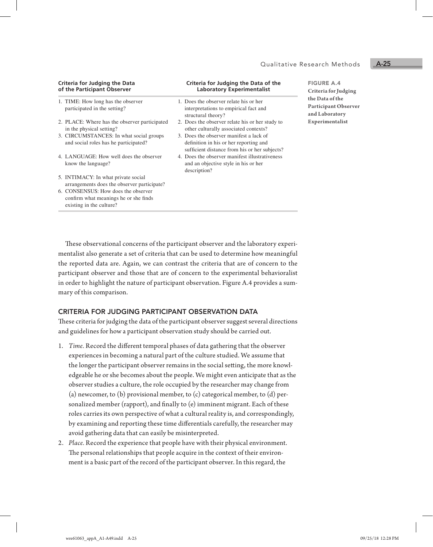### Qualitative Research Methods **A-25**

| Criteria for Judging the Data<br>of the Participant Observer                                             | Criteria for Judging the Data of the<br><b>Laboratory Experimentalist</b>                             |                                                 |
|----------------------------------------------------------------------------------------------------------|-------------------------------------------------------------------------------------------------------|-------------------------------------------------|
| 1. TIME: How long has the observer<br>participated in the setting?                                       | 1. Does the observer relate his or her<br>interpretations to empirical fact and<br>structural theory? |                                                 |
| 2. PLACE: Where has the observer participated<br>in the physical setting?                                | other culturally associated contexts?                                                                 | 2. Does the observer relate his or her study to |
| 3. CIRCUMSTANCES: In what social groups<br>and social roles has he participated?                         | 3. Does the observer manifest a lack of<br>definition in his or her reporting and                     | sufficient distance from his or her subjects?   |
| 4. LANGUAGE: How well does the observer<br>know the language?                                            | and an objective style in his or her<br>description?                                                  | 4. Does the observer manifest illustrativeness  |
| 5. INTIMACY: In what private social                                                                      |                                                                                                       |                                                 |
| arrangements does the observer participate?                                                              |                                                                                                       |                                                 |
| 6. CONSENSUS: How does the observer<br>confirm what meanings he or she finds<br>existing in the culture? |                                                                                                       |                                                 |

RE A.4 **Criteria for Judging the Data of the Participant Observer and Laboratory Experimentalist**

These observational concerns of the participant observer and the laboratory experimentalist also generate a set of criteria that can be used to determine how meaningful the reported data are. Again, we can contrast the criteria that are of concern to the participant observer and those that are of concern to the experimental behavioralist in order to highlight the nature of participant observation. Figure A.4 provides a summary of this comparison.

#### CRITERIA FOR JUDGING PARTICIPANT OBSERVATION DATA

These criteria for judging the data of the participant observer suggest several directions and guidelines for how a participant observation study should be carried out.

- 1. *Time.* Record the different temporal phases of data gathering that the observer experiences in becoming a natural part of the culture studied. We assume that the longer the participant observer remains in the social setting, the more knowledgeable he or she becomes about the people. We might even anticipate that as the observer studies a culture, the role occupied by the researcher may change from (a) newcomer, to (b) provisional member, to (c) categorical member, to (d) personalized member (rapport), and finally to (e) imminent migrant. Each of these roles carries its own perspective of what a cultural reality is, and correspondingly, by examining and reporting these time differentials carefully, the researcher may avoid gathering data that can easily be misinterpreted.
- 2. *Place.* Record the experience that people have with their physical environment. The personal relationships that people acquire in the context of their environment is a basic part of the record of the participant observer. In this regard, the

wre61063\_appA\_A1-A49.indd A-25 09/25/18 12:28 PM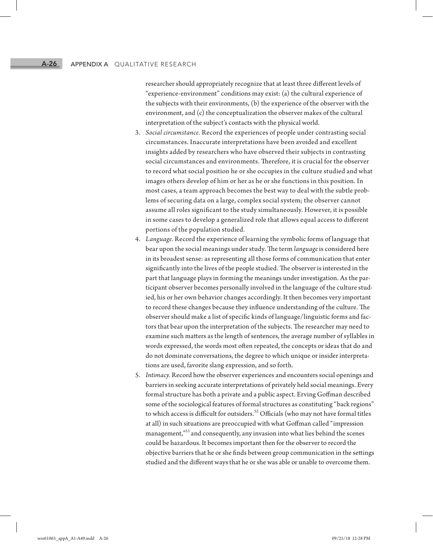researcher should appropriately recognize that at least three different levels of "experience-environment" conditions may exist: (a) the cultural experience of the subjects with their environments, (b) the experience of the observer with the environment, and (c) the conceptualization the observer makes of the cultural interpretation of the subject's contacts with the physical world.

- 3. *Social circumstance.* Record the experiences of people under contrasting social circumstances. Inaccurate interpretations have been avoided and excellent insights added by researchers who have observed their subjects in contrasting social circumstances and environments. Therefore, it is crucial for the observer to record what social position he or she occupies in the culture studied and what images others develop of him or her as he or she functions in this position. In most cases, a team approach becomes the best way to deal with the subtle problems of securing data on a large, complex social system; the observer cannot assume all roles significant to the study simultaneously. However, it is possible in some cases to develop a generalized role that allows equal access to different portions of the population studied.
- 4. *Language.* Record the experience of learning the symbolic forms of language that bear upon the social meanings under study. The term *language* is considered here in its broadest sense: as representing all those forms of communication that enter significantly into the lives of the people studied. The observer is interested in the part that language plays in forming the meanings under investigation. As the participant observer becomes personally involved in the language of the culture studied, his or her own behavior changes accordingly. It then becomes very important to record these changes because they influence understanding of the culture. The observer should make a list of specific kinds of language/linguistic forms and factors that bear upon the interpretation of the subjects. The researcher may need to examine such matters as the length of sentences, the average number of syllables in words expressed, the words most often repeated, the concepts or ideas that do and do not dominate conversations, the degree to which unique or insider interpretations are used, favorite slang expression, and so forth.
- 5. *Intimacy.* Record how the observer experiences and encounters social openings and barriers in seeking accurate interpretations of privately held social meanings. Every formal structure has both a private and a public aspect. Erving Goffman described some of the sociological features of formal structures as constituting "back regions" to which access is difficult for outsiders.<sup>52</sup> Officials (who may not have formal titles at all) in such situations are preoccupied with what Goffman called "impression management,<sup>"53</sup> and consequently, any invasion into what lies behind the scenes could be hazardous. It becomes important then for the observer to record the objective barriers that he or she finds between group communication in the settings studied and the different ways that he or she was able or unable to overcome them.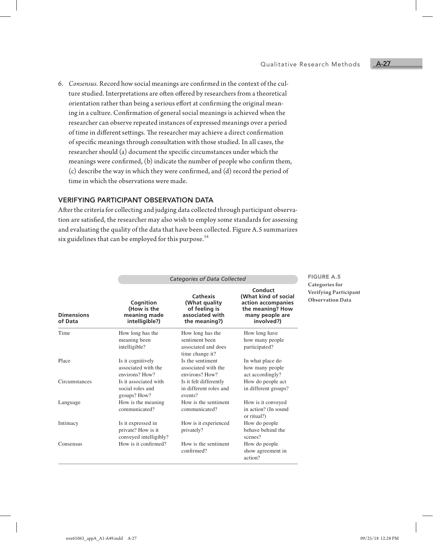6. *Consensus.* Record how social meanings are confirmed in the context of the culture studied. Interpretations are often offered by researchers from a theoretical orientation rather than being a serious effort at confirming the original meaning in a culture. Confirmation of general social meanings is achieved when the researcher can observe repeated instances of expressed meanings over a period of time in different settings. The researcher may achieve a direct confirmation of specific meanings through consultation with those studied. In all cases, the researcher should (a) document the specific circumstances under which the meanings were confirmed, (b) indicate the number of people who confirm them, (c) describe the way in which they were confirmed, and (d) record the period of time in which the observations were made.

#### VERIFYING PARTICIPANT OBSERVATION DATA

After the criteria for collecting and judging data collected through participant observation are satisfied, the researcher may also wish to employ some standards for assessing and evaluating the quality of the data that have been collected. Figure A.5 summarizes six guidelines that can be employed for this purpose. $54$ 

|                              |                                                                    | <b>Categories of Data Collected</b>                                            |                                                                                                            |  |  |  |
|------------------------------|--------------------------------------------------------------------|--------------------------------------------------------------------------------|------------------------------------------------------------------------------------------------------------|--|--|--|
| <b>Dimensions</b><br>of Data | Cognition<br>(How is the<br>meaning made<br>intelligible?)         | Cathexis<br>(What quality<br>of feeling is<br>associated with<br>the meaning?) | Conduct<br>(What kind of social<br>action accompanies<br>the meaning? How<br>many people are<br>involved?) |  |  |  |
| Time                         | How long has the<br>meaning been<br>intelligible?                  | How long has the<br>sentiment been<br>associated and does<br>time change it?   | How long have<br>how many people<br>participated?                                                          |  |  |  |
| Place                        | Is it cognitively<br>associated with the<br>environs? How?         | Is the sentiment<br>associated with the<br>environs? How?                      | In what place do<br>how many people<br>act accordingly?                                                    |  |  |  |
| Circumstances                | Is it associated with<br>social roles and<br>groups? How?          | Is it felt differently<br>in different roles and<br>events?                    | How do people act<br>in different groups?                                                                  |  |  |  |
| Language                     | How is the meaning<br>communicated?                                | How is the sentiment.<br>communicated?                                         | How is it conveyed<br>in action? (In sound<br>or ritual?)                                                  |  |  |  |
| Intimacy                     | Is it expressed in<br>private? How is it<br>conveyed intelligibly? | How is it experienced<br>privately?                                            | How do people<br>behave behind the<br>scenes?                                                              |  |  |  |
| Consensus                    | How is it confirmed?                                               | How is the sentiment<br>confirmed?                                             | How do people<br>show agreement in<br>action?                                                              |  |  |  |

FIGURE A.5 **Categories for Verifying Participant Observation Data**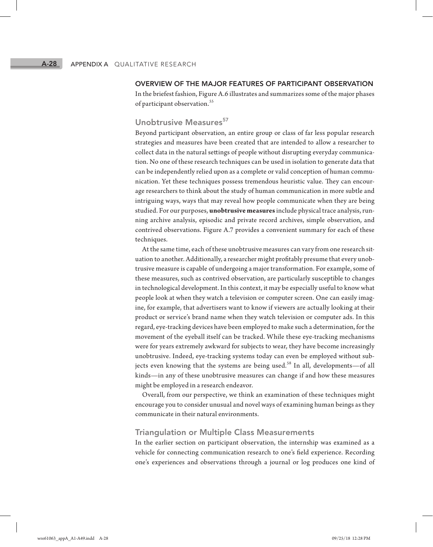#### OVERVIEW OF THE MAJOR FEATURES OF PARTICIPANT OBSERVATION

In the briefest fashion, Figure A.6 illustrates and summarizes some of the major phases of participant observation.<sup>55</sup>

# Unobtrusive Measures<sup>57</sup>

Beyond participant observation, an entire group or class of far less popular research strategies and measures have been created that are intended to allow a researcher to collect data in the natural settings of people without disrupting everyday communication. No one of these research techniques can be used in isolation to generate data that can be independently relied upon as a complete or valid conception of human communication. Yet these techniques possess tremendous heuristic value. They can encourage researchers to think about the study of human communication in more subtle and intriguing ways, ways that may reveal how people communicate when they are being studied. For our purposes, **unobtrusive measures** include physical trace analysis, running archive analysis, episodic and private record archives, simple observation, and contrived observations. Figure A.7 provides a convenient summary for each of these techniques.

At the same time, each of these unobtrusive measures can vary from one research situation to another. Additionally, a researcher might profitably presume that every unobtrusive measure is capable of undergoing a major transformation. For example, some of these measures, such as contrived observation, are particularly susceptible to changes in technological development. In this context, it may be especially useful to know what people look at when they watch a television or computer screen. One can easily imagine, for example, that advertisers want to know if viewers are actually looking at their product or service's brand name when they watch television or computer ads. In this regard, eye-tracking devices have been employed to make such a determination, for the movement of the eyeball itself can be tracked. While these eye-tracking mechanisms were for years extremely awkward for subjects to wear, they have become increasingly unobtrusive. Indeed, eye-tracking systems today can even be employed without subjects even knowing that the systems are being used.<sup>58</sup> In all, developments—of all kinds—in any of these unobtrusive measures can change if and how these measures might be employed in a research endeavor.

Overall, from our perspective, we think an examination of these techniques might encourage you to consider unusual and novel ways of examining human beings as they communicate in their natural environments.

#### Triangulation or Multiple Class Measurements

In the earlier section on participant observation, the internship was examined as a vehicle for connecting communication research to one's field experience. Recording one's experiences and observations through a journal or log produces one kind of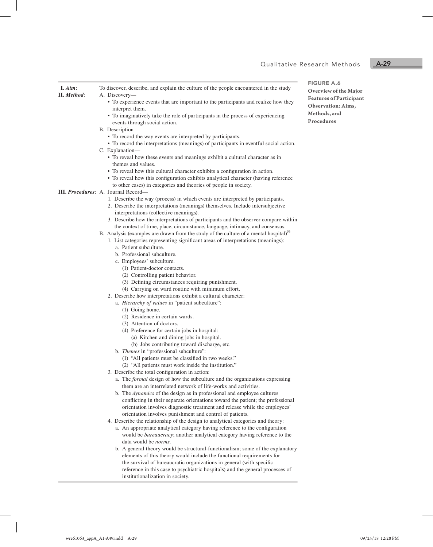#### Qualitative Research Methods **A-29**

#### To discover, describe, and explain the culture of the people encountered in the study A. Discovery— • To experience events that are important to the participants and realize how they interpret them. • To imaginatively take the role of participants in the process of experiencing events through social action. B. Description— • To record the way events are interpreted by participants. • To record the interpretations (meanings) of participants in eventful social action. C. Explanation— • To reveal how these events and meanings exhibit a cultural character as in themes and values. • To reveal how this cultural character exhibits a configuration in action. • To reveal how this configuration exhibits analytical character (having reference to other cases) in categories and theories of people in society. III. Procedures: A. Journal Record-1. Describe the way (process) in which events are interpreted by participants. 2. Describe the interpretations (meanings) themselves. Include intersubjective interpretations (collective meanings). 3. Describe how the interpretations of participants and the observer compare within the context of time, place, circumstance, language, intimacy, and consensus. B. Analysis (examples are drawn from the study of the culture of a mental hospital)<sup>56</sup>– 1. List categories representing significant areas of interpretations (meanings): a. Patient subculture. b. Professional subculture. c. Employees' subculture. (1) Patient-doctor contacts. (2) Controlling patient behavior. (3) Defining circumstances requiring punishment. (4) Carrying on ward routine with minimum effort. 2. Describe how interpretations exhibit a cultural character: a. *Hierarchy of values* in "patient subculture": (1) Going home. (2) Residence in certain wards. (3) Attention of doctors. (4) Preference for certain jobs in hospital: (a) Kitchen and dining jobs in hospital. (b) Jobs contributing toward discharge, etc. b. *Themes* in "professional subculture": (1) "All patients must be classified in two weeks." (2) "All patients must work inside the institution." 3. Describe the total configuration in action: a. The *formal* design of how the subculture and the organizations expressing them are an interrelated network of life-works and activities. b. The *dynamics* of the design as in professional and employee cultures conflicting in their separate orientations toward the patient; the professional orientation involves diagnostic treatment and release while the employees' orientation involves punishment and control of patients. 4. Describe the relationship of the design to analytical categories and theory: a. An appropriate analytical category having reference to the configuration would be *bureaucracy*; another analytical category having reference to the data would be *norms*. b. A general theory would be structural-functionalism; some of the explanatory elements of this theory would include the functional requirements for the survival of bureaucratic organizations in general (with specific reference in this case to psychiatric hospitals) and the general processes of  **I.** *Aim*: **II.** *Method*: FIGURE A.6 **Observation: Aims, Methods, and Procedures**

**Overview of the Major Features of Participant** 

institutionalization in society.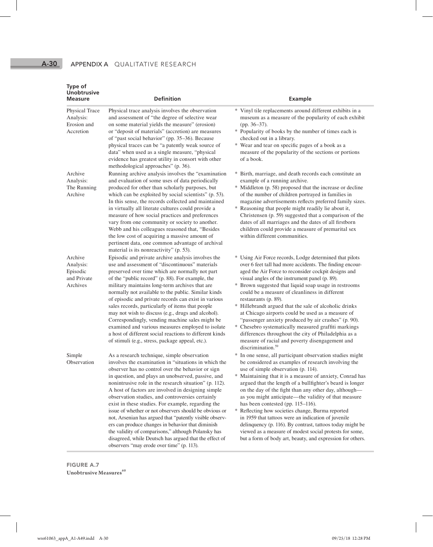# A-30 APPENDIX A QUALITATIVE RESEARCH

| Type of<br><b>Unobtrusive</b><br><b>Measure</b>             | <b>Definition</b>                                                                                                                                                                                                                                                                                                                                                                                                                                                                                                                                                                                                                                                                                                                                                                | <b>Example</b>                                                                                                                                                                                                                                                                                                                                                                                                                                                                                                                                                                                                                                                                                                                                  |
|-------------------------------------------------------------|----------------------------------------------------------------------------------------------------------------------------------------------------------------------------------------------------------------------------------------------------------------------------------------------------------------------------------------------------------------------------------------------------------------------------------------------------------------------------------------------------------------------------------------------------------------------------------------------------------------------------------------------------------------------------------------------------------------------------------------------------------------------------------|-------------------------------------------------------------------------------------------------------------------------------------------------------------------------------------------------------------------------------------------------------------------------------------------------------------------------------------------------------------------------------------------------------------------------------------------------------------------------------------------------------------------------------------------------------------------------------------------------------------------------------------------------------------------------------------------------------------------------------------------------|
| Physical Trace<br>Analysis:<br>Erosion and<br>Accretion     | Physical trace analysis involves the observation<br>and assessment of "the degree of selective wear<br>on some material yields the measure" (erosion)<br>or "deposit of materials" (accretion) are measures<br>of "past social behavior" (pp. 35-36). Because<br>physical traces can be "a patently weak source of<br>data" when used as a single measure, "physical<br>evidence has greatest utility in consort with other<br>methodological approaches" (p. 36).                                                                                                                                                                                                                                                                                                               | * Vinyl tile replacements around different exhibits in a<br>museum as a measure of the popularity of each exhibit<br>$(pp. 36-37).$<br>* Popularity of books by the number of times each is<br>checked out in a library.<br>* Wear and tear on specific pages of a book as a<br>measure of the popularity of the sections or portions<br>of a book.                                                                                                                                                                                                                                                                                                                                                                                             |
| Archive<br>Analysis:<br>The Running<br>Archive              | Running archive analysis involves the "examination<br>and evaluation of some uses of data periodically<br>produced for other than scholarly purposes, but<br>which can be exploited by social scientists" (p. 53).<br>In this sense, the records collected and maintained<br>in virtually all literate cultures could provide a<br>measure of how social practices and preferences<br>vary from one community or society to another.<br>Webb and his colleagues reasoned that, "Besides<br>the low cost of acquiring a massive amount of<br>pertinent data, one common advantage of archival<br>material is its nonreactivity" (p. 53).                                                                                                                                          | Birth, marriage, and death records each constitute an<br>∗<br>example of a running archive.<br>* Middleton (p. 58) proposed that the increase or decline<br>of the number of children portrayed in families in<br>magazine advertisements reflects preferred family sizes.<br>* Reasoning that people might readily lie about it,<br>Christensen (p. 59) suggested that a comparison of the<br>dates of all marriages and the dates of all firstborn<br>children could provide a measure of premarital sex<br>within different communities.                                                                                                                                                                                                     |
| Archive<br>Analysis:<br>Episodic<br>and Private<br>Archives | Episodic and private archive analysis involves the<br>use and assessment of "discontinuous" materials<br>preserved over time which are normally not part<br>of the "public record" (p. 88). For example, the<br>military maintains long-term archives that are<br>normally not available to the public. Similar kinds<br>of episodic and private records can exist in various<br>sales records, particularly of items that people<br>may not wish to discuss (e.g., drugs and alcohol).<br>Correspondingly, vending machine sales might be<br>examined and various measures employed to isolate<br>a host of different social reactions to different kinds<br>of stimuli (e.g., stress, package appeal, etc.).                                                                   | * Using Air Force records, Lodge determined that pilots<br>over 6 feet tall had more accidents. The finding encour-<br>aged the Air Force to reconsider cockpit designs and<br>visual angles of the instrument panel (p. 89).<br>* Brown suggested that liquid soap usage in restrooms<br>could be a measure of cleanliness in different<br>restaurants (p. 89).<br>* Hillebrandt argued that the sale of alcoholic drinks<br>at Chicago airports could be used as a measure of<br>"passenger anxiety produced by air crashes" (p. 90).<br>*<br>Chesebro systematically measured graffiti markings<br>differences throughout the city of Philadelphia as a<br>measure of racial and poverty disengagement and<br>discrimination. <sup>59</sup>  |
| Simple<br>Observation                                       | As a research technique, simple observation<br>involves the examination in "situations in which the<br>observer has no control over the behavior or sign<br>in question, and plays an unobserved, passive, and<br>nonintrusive role in the research situation" (p. 112).<br>A host of factors are involved in designing simple<br>observation studies, and controversies certainly<br>exist in these studies. For example, regarding the<br>issue of whether or not observers should be obvious or<br>not, Arsenian has argued that "patently visible observ-<br>ers can produce changes in behavior that diminish<br>the validity of comparisons," although Polansky has<br>disagreed, while Deutsch has argued that the effect of<br>observers "may erode over time" (p. 113). | * In one sense, all participant observation studies might<br>be considered as examples of research involving the<br>use of simple observation (p. 114).<br>* Maintaining that it is a measure of anxiety, Conrad has<br>argued that the length of a bullfighter's beard is longer<br>on the day of the fight than any other day, although-<br>as you might anticipate—the validity of that measure<br>has been contested (pp. $115-116$ ).<br>∗<br>Reflecting how societies change, Burma reported<br>in 1959 that tattoos were an indication of juvenile<br>delinquency (p. 116). By contrast, tattoos today might be<br>viewed as a measure of modest social protests for some,<br>but a form of body art, beauty, and expression for others. |

FIGURE A.7 **Unobtrusive Measures<sup>60</sup>**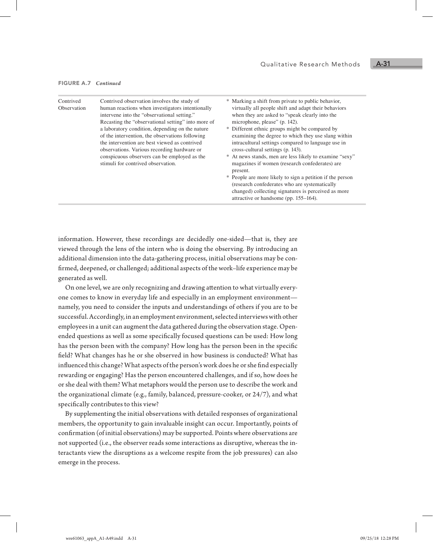#### FIGURE A.7 *Continued*

| Contrived<br><b>Observation</b> | Contrived observation involves the study of<br>human reactions when investigators intentionally<br>intervene into the "observational setting."<br>Recasting the "observational setting" into more of<br>a laboratory condition, depending on the nature<br>of the intervention, the observations following<br>the intervention are best viewed as contrived<br>observations. Various recording hardware or<br>conspicuous observers can be employed as the<br>stimuli for contrived observation. | * Marking a shift from private to public behavior,<br>virtually all people shift and adapt their behaviors<br>when they are asked to "speak clearly into the<br>microphone, please" (p. 142).<br>* Different ethnic groups might be compared by<br>examining the degree to which they use slang within<br>intracultural settings compared to language use in<br>cross-cultural settings (p. 143).<br>* At news stands, men are less likely to examine "sexy"<br>magazines if women (research confederates) are<br>present.<br>* People are more likely to sign a petition if the person<br>(research confederates who are systematically<br>changed) collecting signatures is perceived as more<br>attractive or handsome (pp. 155–164). |
|---------------------------------|--------------------------------------------------------------------------------------------------------------------------------------------------------------------------------------------------------------------------------------------------------------------------------------------------------------------------------------------------------------------------------------------------------------------------------------------------------------------------------------------------|------------------------------------------------------------------------------------------------------------------------------------------------------------------------------------------------------------------------------------------------------------------------------------------------------------------------------------------------------------------------------------------------------------------------------------------------------------------------------------------------------------------------------------------------------------------------------------------------------------------------------------------------------------------------------------------------------------------------------------------|
|---------------------------------|--------------------------------------------------------------------------------------------------------------------------------------------------------------------------------------------------------------------------------------------------------------------------------------------------------------------------------------------------------------------------------------------------------------------------------------------------------------------------------------------------|------------------------------------------------------------------------------------------------------------------------------------------------------------------------------------------------------------------------------------------------------------------------------------------------------------------------------------------------------------------------------------------------------------------------------------------------------------------------------------------------------------------------------------------------------------------------------------------------------------------------------------------------------------------------------------------------------------------------------------------|

information. However, these recordings are decidedly one-sided—that is, they are viewed through the lens of the intern who is doing the observing. By introducing an additional dimension into the data-gathering process, initial observations may be confirmed, deepened, or challenged; additional aspects of the work–life experience may be generated as well.

On one level, we are only recognizing and drawing attention to what virtually everyone comes to know in everyday life and especially in an employment environment namely, you need to consider the inputs and understandings of others if you are to be successful. Accordingly, in an employment environment, selected interviews with other employees in a unit can augment the data gathered during the observation stage. Openended questions as well as some specifically focused questions can be used: How long has the person been with the company? How long has the person been in the specific field? What changes has he or she observed in how business is conducted? What has influenced this change? What aspects of the person's work does he or she find especially rewarding or engaging? Has the person encountered challenges, and if so, how does he or she deal with them? What metaphors would the person use to describe the work and the organizational climate (e.g., family, balanced, pressure-cooker, or 24/7), and what specifically contributes to this view?

By supplementing the initial observations with detailed responses of organizational members, the opportunity to gain invaluable insight can occur. Importantly, points of confirmation (of initial observations) may be supported. Points where observations are not supported (i.e., the observer reads some interactions as disruptive, whereas the interactants view the disruptions as a welcome respite from the job pressures) can also emerge in the process.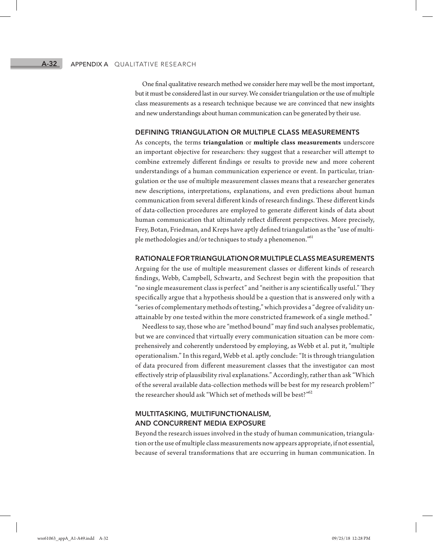One final qualitative research method we consider here may well be the most important, but it must be considered last in our survey. We consider triangulation or the use of multiple class measurements as a research technique because we are convinced that new insights and new understandings about human communication can be generated by their use.

#### DEFINING TRIANGULATION OR MULTIPLE CLASS MEASUREMENTS

As concepts, the terms **triangulation** or **multiple class measurements** underscore an important objective for researchers: they suggest that a researcher will attempt to combine extremely different findings or results to provide new and more coherent understandings of a human communication experience or event. In particular, triangulation or the use of multiple measurement classes means that a researcher generates new descriptions, interpretations, explanations, and even predictions about human communication from several different kinds of research findings. These different kinds of data-collection procedures are employed to generate different kinds of data about human communication that ultimately reflect different perspectives. More precisely, Frey, Botan, Friedman, and Kreps have aptly defined triangulation as the "use of multiple methodologies and/or techniques to study a phenomenon."<sup>61</sup>

#### RATIONALE FOR TRIANGULATION OR MULTIPLE CLASS MEASUREMENTS

Arguing for the use of multiple measurement classes or different kinds of research findings, Webb, Campbell, Schwartz, and Sechrest begin with the proposition that "no single measurement class is perfect" and "neither is any scientifically useful." They specifically argue that a hypothesis should be a question that is answered only with a "series of complementary methods of testing," which provides a "degree of validity unattainable by one tested within the more constricted framework of a single method."

Needless to say, those who are "method bound" may find such analyses problematic, but we are convinced that virtually every communication situation can be more comprehensively and coherently understood by employing, as Webb et al. put it, "multiple operationalism." In this regard, Webb et al. aptly conclude: "It is through triangulation of data procured from different measurement classes that the investigator can most effectively strip of plausibility rival explanations." Accordingly, rather than ask "Which of the several available data-collection methods will be best for my research problem?" the researcher should ask "Which set of methods will be best?"<sup>62</sup>

# MULTITASKING, MULTIFUNCTIONALISM, AND CONCURRENT MEDIA EXPOSURE

Beyond the research issues involved in the study of human communication, triangulation or the use of multiple class measurements now appears appropriate, if not essential, because of several transformations that are occurring in human communication. In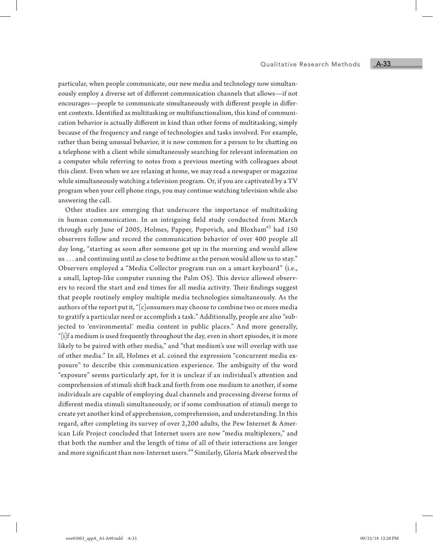particular, when people communicate, our new media and technology now simultaneously employ a diverse set of different communication channels that allows—if not encourages—people to communicate simultaneously with different people in different contexts. Identified as multitasking or multifunctionalism, this kind of communication behavior is actually different in kind than other forms of multitasking, simply because of the frequency and range of technologies and tasks involved. For example, rather than being unusual behavior, it is now common for a person to be chatting on a telephone with a client while simultaneously searching for relevant information on a computer while referring to notes from a previous meeting with colleagues about this client. Even when we are relaxing at home, we may read a newspaper or magazine while simultaneously watching a television program. Or, if you are captivated by a TV program when your cell phone rings, you may continue watching television while also answering the call.

Other studies are emerging that underscore the importance of multitasking in human communication. In an intriguing field study conducted from March through early June of 2005, Holmes, Papper, Popovich, and Bloxham<sup>63</sup> had 150 observers follow and record the communication behavior of over 400 people all day long, "starting as soon after someone got up in the morning and would allow us . . . and continuing until as close to bedtime as the person would allow us to stay." Observers employed a "Media Collector program run on a smart keyboard" (i.e., a small, laptop-like computer running the Palm OS). This device allowed observers to record the start and end times for all media activity. Their findings suggest that people routinely employ multiple media technologies simultaneously. As the authors of the report put it, "[c]onsumers may choose to combine two or more media to gratify a particular need or accomplish a task." Additionally, people are also "subjected to 'environmental' media content in public places." And more generally, "[i]f a medium is used frequently throughout the day, even in short episodes, it is more likely to be paired with other media," and "that medium's use will overlap with use of other media." In all, Holmes et al. coined the expression "concurrent media exposure" to describe this communication experience. The ambiguity of the word "exposure" seems particularly apt, for it is unclear if an individual's attention and comprehension of stimuli shift back and forth from one medium to another, if some individuals are capable of employing dual channels and processing diverse forms of different media stimuli simultaneously, or if some combination of stimuli merge to create yet another kind of apprehension, comprehension, and understanding. In this regard, after completing its survey of over 2,200 adults, the Pew Internet & American Life Project concluded that Internet users are now "media multiplexers," and that both the number and the length of time of all of their interactions are longer and more significant than non-Internet users.<sup>64</sup> Similarly, Gloria Mark observed the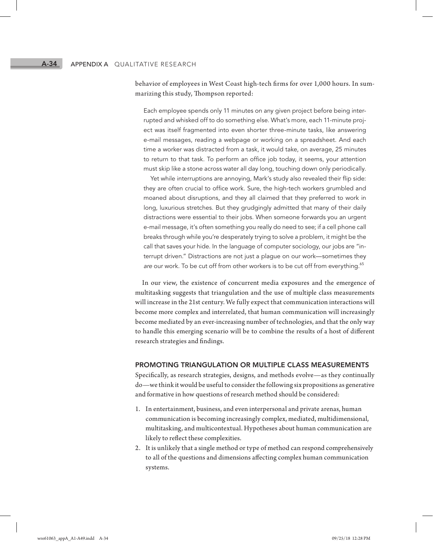behavior of employees in West Coast high-tech firms for over 1,000 hours. In summarizing this study, Thompson reported:

Each employee spends only 11 minutes on any given project before being interrupted and whisked off to do something else. What's more, each 11-minute project was itself fragmented into even shorter three-minute tasks, like answering e-mail messages, reading a webpage or working on a spreadsheet. And each time a worker was distracted from a task, it would take, on average, 25 minutes to return to that task. To perform an office job today, it seems, your attention must skip like a stone across water all day long, touching down only periodically.

Yet while interruptions are annoying, Mark's study also revealed their flip side: they are often crucial to office work. Sure, the high-tech workers grumbled and moaned about disruptions, and they all claimed that they preferred to work in long, luxurious stretches. But they grudgingly admitted that many of their daily distractions were essential to their jobs. When someone forwards you an urgent e-mail message, it's often something you really do need to see; if a cell phone call breaks through while you're desperately trying to solve a problem, it might be the call that saves your hide. In the language of computer sociology, our jobs are "interrupt driven." Distractions are not just a plague on our work—sometimes they are our work. To be cut off from other workers is to be cut off from everything.<sup>65</sup>

In our view, the existence of concurrent media exposures and the emergence of multitasking suggests that triangulation and the use of multiple class measurements will increase in the 21st century. We fully expect that communication interactions will become more complex and interrelated, that human communication will increasingly become mediated by an ever-increasing number of technologies, and that the only way to handle this emerging scenario will be to combine the results of a host of different research strategies and findings.

#### PROMOTING TRIANGULATION OR MULTIPLE CLASS MEASUREMENTS

Specifically, as research strategies, designs, and methods evolve—as they continually do—we think it would be useful to consider the following six propositions as generative and formative in how questions of research method should be considered:

- 1. In entertainment, business, and even interpersonal and private arenas, human communication is becoming increasingly complex, mediated, multidimensional, multitasking, and multicontextual. Hypotheses about human communication are likely to reflect these complexities.
- 2. It is unlikely that a single method or type of method can respond comprehensively to all of the questions and dimensions affecting complex human communication systems.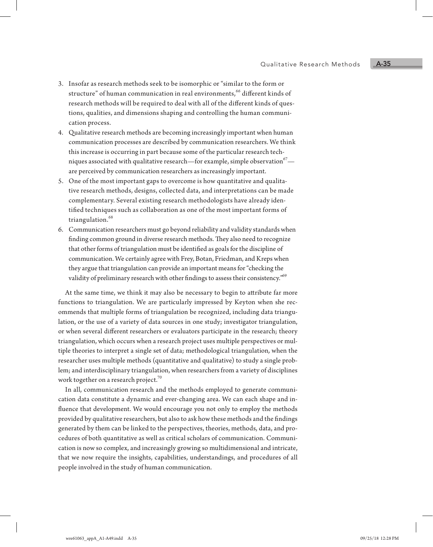- 3. Insofar as research methods seek to be isomorphic or "similar to the form or structure" of human communication in real environments,<sup>66</sup> different kinds of research methods will be required to deal with all of the different kinds of questions, qualities, and dimensions shaping and controlling the human communication process.
- 4. Qualitative research methods are becoming increasingly important when human communication processes are described by communication researchers. We think this increase is occurring in part because some of the particular research techniques associated with qualitative research—for example, simple observation $\degree$ are perceived by communication researchers as increasingly important.
- 5. One of the most important gaps to overcome is how quantitative and qualitative research methods, designs, collected data, and interpretations can be made complementary. Several existing research methodologists have already identified techniques such as collaboration as one of the most important forms of triangulation.<sup>68</sup>
- 6. Communication researchers must go beyond reliability and validity standards when finding common ground in diverse research methods. They also need to recognize that other forms of triangulation must be identified as goals for the discipline of communication. We certainly agree with Frey, Botan, Friedman, and Kreps when they argue that triangulation can provide an important means for "checking the validity of preliminary research with other findings to assess their consistency."<sup>69</sup>

At the same time, we think it may also be necessary to begin to attribute far more functions to triangulation. We are particularly impressed by Keyton when she recommends that multiple forms of triangulation be recognized, including data triangulation, or the use of a variety of data sources in one study; investigator triangulation, or when several different researchers or evaluators participate in the research; theory triangulation, which occurs when a research project uses multiple perspectives or multiple theories to interpret a single set of data; methodological triangulation*,* when the researcher uses multiple methods (quantitative and qualitative) to study a single problem; and interdisciplinary triangulation, when researchers from a variety of disciplines work together on a research project. $70$ 

In all, communication research and the methods employed to generate communication data constitute a dynamic and ever-changing area. We can each shape and influence that development. We would encourage you not only to employ the methods provided by qualitative researchers, but also to ask how these methods and the findings generated by them can be linked to the perspectives, theories, methods, data, and procedures of both quantitative as well as critical scholars of communication. Communication is now so complex, and increasingly growing so multidimensional and intricate, that we now require the insights, capabilities, understandings, and procedures of all people involved in the study of human communication.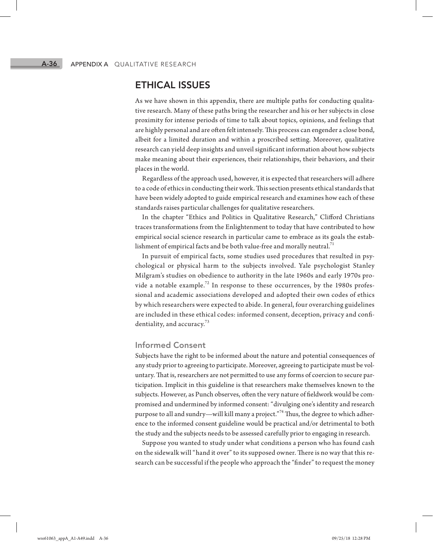# ETHICAL ISSUES

As we have shown in this appendix, there are multiple paths for conducting qualitative research. Many of these paths bring the researcher and his or her subjects in close proximity for intense periods of time to talk about topics, opinions, and feelings that are highly personal and are often felt intensely. This process can engender a close bond, albeit for a limited duration and within a proscribed setting. Moreover, qualitative research can yield deep insights and unveil significant information about how subjects make meaning about their experiences, their relationships, their behaviors, and their places in the world.

Regardless of the approach used, however, it is expected that researchers will adhere to a code of ethics in conducting their work. This section presents ethical standards that have been widely adopted to guide empirical research and examines how each of these standards raises particular challenges for qualitative researchers.

In the chapter "Ethics and Politics in Qualitative Research," Clifford Christians traces transformations from the Enlightenment to today that have contributed to how empirical social science research in particular came to embrace as its goals the establishment of empirical facts and be both value-free and morally neutral. $71$ 

In pursuit of empirical facts, some studies used procedures that resulted in psychological or physical harm to the subjects involved. Yale psychologist Stanley Milgram's studies on obedience to authority in the late 1960s and early 1970s provide a notable example.<sup>72</sup> In response to these occurrences, by the 1980s professional and academic associations developed and adopted their own codes of ethics by which researchers were expected to abide. In general, four overarching guidelines are included in these ethical codes: informed consent, deception, privacy and confidentiality, and accuracy. $73$ 

#### Informed Consent

Subjects have the right to be informed about the nature and potential consequences of any study prior to agreeing to participate. Moreover, agreeing to participate must be voluntary. That is, researchers are not permitted to use any forms of coercion to secure participation. Implicit in this guideline is that researchers make themselves known to the subjects. However, as Punch observes, often the very nature of fieldwork would be compromised and undermined by informed consent: "divulging one's identity and research purpose to all and sundry—will kill many a project."<sup>74</sup> Thus, the degree to which adherence to the informed consent guideline would be practical and/or detrimental to both the study and the subjects needs to be assessed carefully prior to engaging in research.

Suppose you wanted to study under what conditions a person who has found cash on the sidewalk will "hand it over" to its supposed owner. There is no way that this research can be successful if the people who approach the "finder" to request the money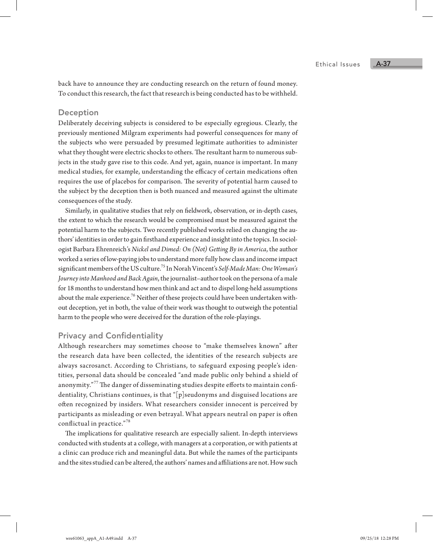back have to announce they are conducting research on the return of found money. To conduct this research, the fact that research is being conducted has to be withheld.

#### Deception

Deliberately deceiving subjects is considered to be especially egregious. Clearly, the previously mentioned Milgram experiments had powerful consequences for many of the subjects who were persuaded by presumed legitimate authorities to administer what they thought were electric shocks to others. The resultant harm to numerous subjects in the study gave rise to this code. And yet, again, nuance is important. In many medical studies, for example, understanding the efficacy of certain medications often requires the use of placebos for comparison. The severity of potential harm caused to the subject by the deception then is both nuanced and measured against the ultimate consequences of the study.

Similarly, in qualitative studies that rely on fieldwork, observation, or in-depth cases, the extent to which the research would be compromised must be measured against the potential harm to the subjects. Two recently published works relied on changing the authors' identities in order to gain firsthand experience and insight into the topics. In sociologist Barbara Ehrenreich's *Nickel and Dimed: On (Not) Getting By in America*, the author worked a series of low-paying jobs to understand more fully how class and income impact significant members of the US culture.75 In Norah Vincent's *Self-Made Man: One Woman's Journey into Manhood and Back Again*, the journalist–author took on the persona of a male for 18 months to understand how men think and act and to dispel long-held assumptions about the male experience.<sup>76</sup> Neither of these projects could have been undertaken without deception, yet in both, the value of their work was thought to outweigh the potential harm to the people who were deceived for the duration of the role-playings.

#### Privacy and Confidentiality

Although researchers may sometimes choose to "make themselves known" after the research data have been collected, the identities of the research subjects are always sacrosanct. According to Christians, to safeguard exposing people's identities, personal data should be concealed "and made public only behind a shield of anonymity."<sup>77</sup> The danger of disseminating studies despite efforts to maintain confidentiality, Christians continues, is that "[p]seudonyms and disguised locations are often recognized by insiders. What researchers consider innocent is perceived by participants as misleading or even betrayal. What appears neutral on paper is often conflictual in practice."<sup>78</sup>

The implications for qualitative research are especially salient. In-depth interviews conducted with students at a college, with managers at a corporation, or with patients at a clinic can produce rich and meaningful data. But while the names of the participants and the sites studied can be altered, the authors' names and affiliations are not. How such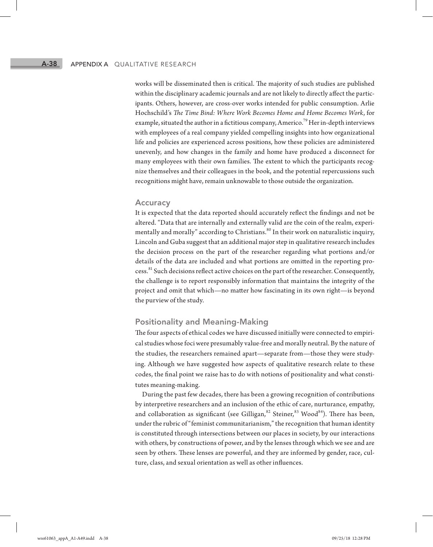A-38 APPENDIX A QUALITATIVE RESEARCH

works will be disseminated then is critical. The majority of such studies are published within the disciplinary academic journals and are not likely to directly affect the participants. Others, however, are cross-over works intended for public consumption. Arlie Hochschild's *The Time Bind: Where Work Becomes Home and Home Becomes Work*, for example, situated the author in a fictitious company, Americo.<sup>79</sup> Her in-depth interviews with employees of a real company yielded compelling insights into how organizational life and policies are experienced across positions, how these policies are administered unevenly, and how changes in the family and home have produced a disconnect for many employees with their own families. The extent to which the participants recognize themselves and their colleagues in the book, and the potential repercussions such recognitions might have, remain unknowable to those outside the organization.

#### Accuracy

It is expected that the data reported should accurately reflect the findings and not be altered. "Data that are internally and externally valid are the coin of the realm, experimentally and morally" according to Christians. $^{\rm 80}$  In their work on naturalistic inquiry, Lincoln and Guba suggest that an additional major step in qualitative research includes the decision process on the part of the researcher regarding what portions and/or details of the data are included and what portions are omitted in the reporting process.<sup>81</sup> Such decisions reflect active choices on the part of the researcher. Consequently, the challenge is to report responsibly information that maintains the integrity of the project and omit that which—no matter how fascinating in its own right—is beyond the purview of the study.

# Positionality and Meaning-Making

The four aspects of ethical codes we have discussed initially were connected to empirical studies whose foci were presumably value-free and morally neutral. By the nature of the studies, the researchers remained apart—separate from—those they were studying. Although we have suggested how aspects of qualitative research relate to these codes, the final point we raise has to do with notions of positionality and what constitutes meaning-making.

During the past few decades, there has been a growing recognition of contributions by interpretive researchers and an inclusion of the ethic of care, nurturance, empathy, and collaboration as significant (see Gilligan,  $82$  Steiner,  $83$  Wood $84$ ). There has been, under the rubric of "feminist communitarianism," the recognition that human identity is constituted through intersections between our places in society, by our interactions with others, by constructions of power, and by the lenses through which we see and are seen by others. These lenses are powerful, and they are informed by gender, race, culture, class, and sexual orientation as well as other influences.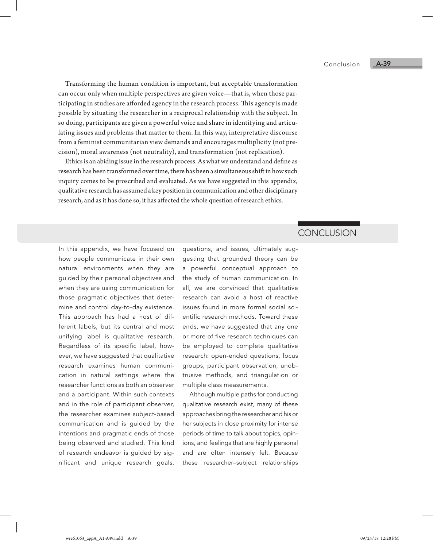#### Conclusion

A-39

Transforming the human condition is important, but acceptable transformation can occur only when multiple perspectives are given voice—that is, when those participating in studies are afforded agency in the research process. This agency is made possible by situating the researcher in a reciprocal relationship with the subject. In so doing, participants are given a powerful voice and share in identifying and articulating issues and problems that matter to them. In this way, interpretative discourse from a feminist communitarian view demands and encourages multiplicity (not precision), moral awareness (not neutrality), and transformation (not replication).

Ethics is an abiding issue in the research process. As what we understand and define as research has been transformed over time, there has been a simultaneous shift in how such inquiry comes to be proscribed and evaluated. As we have suggested in this appendix, qualitative research has assumed a key position in communication and other disciplinary research, and as it has done so, it has affected the whole question of research ethics.

# **CONCLUSION**

In this appendix, we have focused on how people communicate in their own natural environments when they are guided by their personal objectives and when they are using communication for those pragmatic objectives that determine and control day-to-day existence. This approach has had a host of different labels, but its central and most unifying label is qualitative research. Regardless of its specific label, however, we have suggested that qualitative research examines human communication in natural settings where the researcher functions as both an observer and a participant. Within such contexts and in the role of participant observer, the researcher examines subject-based communication and is guided by the intentions and pragmatic ends of those being observed and studied. This kind of research endeavor is guided by significant and unique research goals,

questions, and issues, ultimately suggesting that grounded theory can be a powerful conceptual approach to the study of human communication. In all, we are convinced that qualitative research can avoid a host of reactive issues found in more formal social scientific research methods. Toward these ends, we have suggested that any one or more of five research techniques can be employed to complete qualitative research: open-ended questions, focus groups, participant observation, unobtrusive methods, and triangulation or multiple class measurements.

Although multiple paths for conducting qualitative research exist, many of these approaches bring the researcher and his or her subjects in close proximity for intense periods of time to talk about topics, opinions, and feelings that are highly personal and are often intensely felt. Because these researcher–subject relationships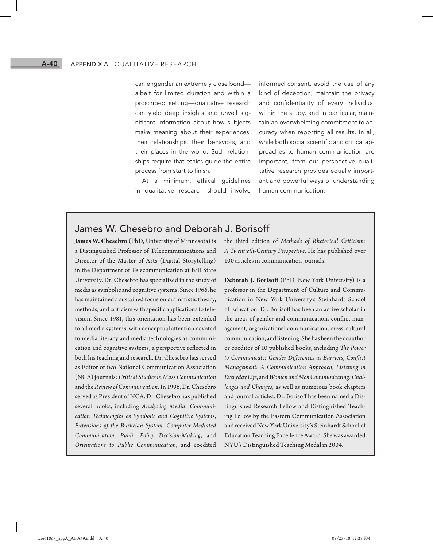can engender an extremely close bond albeit for limited duration and within a proscribed setting—qualitative research can yield deep insights and unveil significant information about how subjects make meaning about their experiences, their relationships, their behaviors, and their places in the world. Such relationships require that ethics guide the entire process from start to finish.

At a minimum, ethical guidelines in qualitative research should involve informed consent, avoid the use of any kind of deception, maintain the privacy and confidentiality of every individual within the study, and in particular, maintain an overwhelming commitment to accuracy when reporting all results. In all, while both social scientific and critical approaches to human communication are important, from our perspective qualitative research provides equally important and powerful ways of understanding human communication.

# James W. Chesebro and Deborah J. Borisoff

**James W. Chesebro** (PhD, University of Minnesota) is a Distinguished Professor of Telecommunications and Director of the Master of Arts (Digital Storytelling) in the Department of Telecommunication at Ball State University. Dr. Chesebro has specialized in the study of media as symbolic and cognitive systems. Since 1966, he has maintained a sustained focus on dramatistic theory, methods, and criticism with specific applications to television. Since 1981, this orientation has been extended to all media systems, with conceptual attention devoted to media literacy and media technologies as communication and cognitive systems, a perspective reflected in both his teaching and research. Dr. Chesebro has served as Editor of two National Communication Association (NCA) journals: *Critical Studies in Mass Communication* and the *Review of Communication*. In 1996, Dr. Chesebro served as President of NCA. Dr. Chesebro has published several books, including *Analyzing Media: Communication Technologies as Symbolic and Cognitive Systems*, *Extensions of the Burkeian System*, *Computer-Mediated Communication*, *Public Policy Decision-Making*, and *Orientations to Public Communication*, and coedited

the third edition of *Methods of Rhetorical Criticism: A Twentieth-Century Perspective*. He has published over 100 articles in communication journals.

**Deborah J. Borisoff** (PhD, New York University) is a professor in the Department of Culture and Communication in New York University's Steinhardt School of Education. Dr. Borisoff has been an active scholar in the areas of gender and communication, conflict management, organizational communication, cross-cultural communication, and listening. She has been the coauthor or coeditor of 10 published books, including *The Power to Communicate: Gender Differences as Barriers*, *Conflict Management: A Communication Approach*, *Listening in Everyday Life*, and *Women and Men Communicating: Challenges and Changes*, as well as numerous book chapters and journal articles. Dr. Borisoff has been named a Distinguished Research Fellow and Distinguished Teaching Fellow by the Eastern Communication Association and received New York University's Steinhardt School of Education Teaching Excellence Award. She was awarded NYU's Distinguished Teaching Medal in 2004.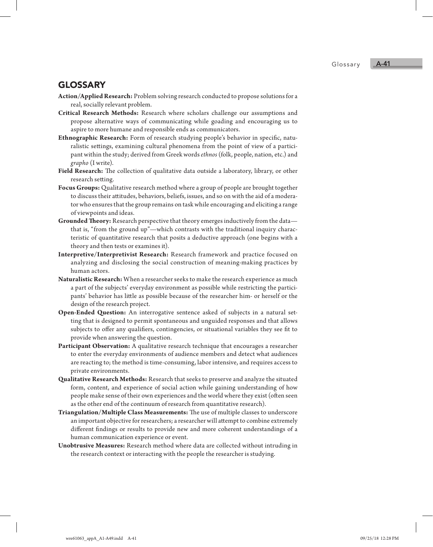A-41

# GLOSSARY

- **Action/Applied Research:** Problem solving research conducted to propose solutions for a real, socially relevant problem.
- **Critical Research Methods:** Research where scholars challenge our assumptions and propose alternative ways of communicating while goading and encouraging us to aspire to more humane and responsible ends as communicators.
- **Ethnographic Research:** Form of research studying people's behavior in specific, naturalistic settings, examining cultural phenomena from the point of view of a participant within the study; derived from Greek words *ethnos* (folk, people, nation, etc.) and *grapho* (I write).
- **Field Research:** The collection of qualitative data outside a laboratory, library, or other research setting.
- **Focus Groups:** Qualitative research method where a group of people are brought together to discuss their attitudes, behaviors, beliefs, issues, and so on with the aid of a moderator who ensures that the group remains on task while encouraging and eliciting a range of viewpoints and ideas.
- **Grounded Theory:** Research perspective that theory emerges inductively from the data that is, "from the ground up"—which contrasts with the traditional inquiry characteristic of quantitative research that posits a deductive approach (one begins with a theory and then tests or examines it).
- **Interpretive/Interpretivist Research:** Research framework and practice focused on analyzing and disclosing the social construction of meaning-making practices by human actors.
- **Naturalistic Research:** When a researcher seeks to make the research experience as much a part of the subjects' everyday environment as possible while restricting the participants' behavior has little as possible because of the researcher him- or herself or the design of the research project.
- **Open-Ended Question:** An interrogative sentence asked of subjects in a natural setting that is designed to permit spontaneous and unguided responses and that allows subjects to offer any qualifiers, contingencies, or situational variables they see fit to provide when answering the question.
- **Participant Observation:** A qualitative research technique that encourages a researcher to enter the everyday environments of audience members and detect what audiences are reacting to; the method is time-consuming, labor intensive, and requires access to private environments.
- **Qualitative Research Methods:** Research that seeks to preserve and analyze the situated form, content, and experience of social action while gaining understanding of how people make sense of their own experiences and the world where they exist (often seen as the other end of the continuum of research from quantitative research).
- **Triangulation/Multiple Class Measurements:** The use of multiple classes to underscore an important objective for researchers; a researcher will attempt to combine extremely different findings or results to provide new and more coherent understandings of a human communication experience or event.
- **Unobtrusive Measures:** Research method where data are collected without intruding in the research context or interacting with the people the researcher is studying.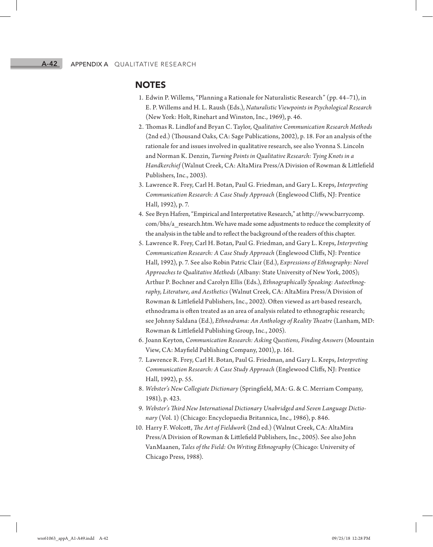# NOTES

- 1. Edwin P. Willems, "Planning a Rationale for Naturalistic Research" (pp. 44–71), in E. P. Willems and H. L. Raush (Eds.), *Naturalistic Viewpoints in Psychological Research* (New York: Holt, Rinehart and Winston, Inc., 1969), p. 46.
- 2. Thomas R. Lindlof and Bryan C. Taylor, *Qualitative Communication Research Methods* (2nd ed.) (Thousand Oaks, CA: Sage Publications, 2002), p. 18. For an analysis of the rationale for and issues involved in qualitative research, see also Yvonna S. Lincoln and Norman K. Denzin, *Turning Points in Qualitative Research: Tying Knots in a Handkerchief* (Walnut Creek, CA: AltaMira Press/A Division of Rowman & Littlefield Publishers, Inc., 2003).
- 3. Lawrence R. Frey, Carl H. Botan, Paul G. Friedman, and Gary L. Kreps, *Interpreting Communication Research: A Case Study Approach* (Englewood Cliffs, NJ: Prentice Hall, 1992), p. 7.
- 4. See Bryn Hafren, "Empirical and Interpretative Research," at http://www.barrycomp. com/bhs/a\_research.htm. We have made some adjustments to reduce the complexity of the analysis in the table and to reflect the background of the readers of this chapter.
- 5. Lawrence R. Frey, Carl H. Botan, Paul G. Friedman, and Gary L. Kreps, *Interpreting Communication Research: A Case Study Approach* (Englewood Cliffs, NJ: Prentice Hall, 1992), p. 7. See also Robin Patric Clair (Ed.), *Expressions of Ethnography: Novel Approaches to Qualitative Methods* (Albany: State University of New York, 2005); Arthur P. Bochner and Carolyn Ellis (Eds.), *Ethnographically Speaking: Autoethnography, Literature, and Aesthetics* (Walnut Creek, CA: AltaMira Press/A Division of Rowman & Littlefield Publishers, Inc., 2002). Often viewed as art-based research, ethnodrama is often treated as an area of analysis related to ethnographic research; see Johnny Saldana (Ed.), *Ethnodrama: An Anthology of Reality Theatre* (Lanham, MD: Rowman & Littlefield Publishing Group, Inc., 2005).
- 6. Joann Keyton, *Communication Research: Asking Questions, Finding Answers* (Mountain View, CA: Mayfield Publishing Company, 2001), p. 161.
- 7. Lawrence R. Frey, Carl H. Botan, Paul G. Friedman, and Gary L. Kreps, *Interpreting Communication Research: A Case Study Approach* (Englewood Cliffs, NJ: Prentice Hall, 1992), p. 55.
- 8. *Webster's New Collegiate Dictionary* (Springfield, MA: G. & C. Merriam Company, 1981), p. 423.
- 9. *Webster's Third New International Dictionary Unabridged and Seven Language Dictionary* (Vol. 1) (Chicago: Encyclopaedia Britannica, Inc., 1986), p. 846.
- 10. Harry F. Wolcott, *The Art of Fieldwork* (2nd ed.) (Walnut Creek, CA: AltaMira Press/A Division of Rowman & Littlefield Publishers, Inc., 2005). See also John VanMaanen, *Tales of the Field: On Writing Ethnography* (Chicago: University of Chicago Press, 1988).

wre61063 appA A1-A49.indd A-42 09/25/18 12:28 PM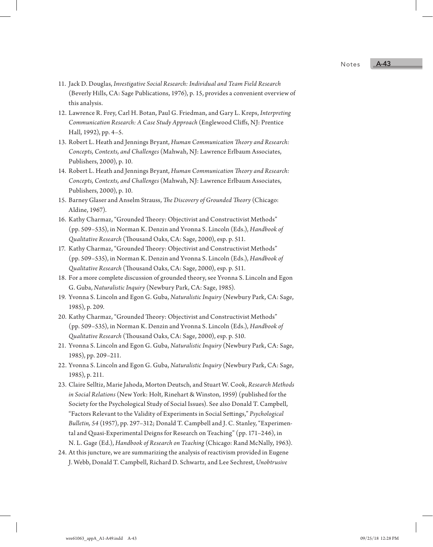#### A-43 Notes

- 11. Jack D. Douglas, *Investigative Social Research: Individual and Team Field Research* (Beverly Hills, CA: Sage Publications, 1976), p. 15, provides a convenient overview of this analysis.
- 12. Lawrence R. Frey, Carl H. Botan, Paul G. Friedman, and Gary L. Kreps, *Interpreting Communication Research: A Case Study Approach* (Englewood Cliffs, NJ: Prentice Hall, 1992), pp. 4–5.
- 13. Robert L. Heath and Jennings Bryant, *Human Communication Theory and Research: Concepts, Contexts, and Challenges* (Mahwah, NJ: Lawrence Erlbaum Associates, Publishers, 2000), p. 10.
- 14. Robert L. Heath and Jennings Bryant, *Human Communication Theory and Research: Concepts, Contexts, and Challenges* (Mahwah, NJ: Lawrence Erlbaum Associates, Publishers, 2000), p. 10.
- 15. Barney Glaser and Anselm Strauss, *The Discovery of Grounded Theory* (Chicago: Aldine, 1967).
- 16. Kathy Charmaz, "Grounded Theory: Objectivist and Constructivist Methods" (pp. 509–535), in Norman K. Denzin and Yvonna S. Lincoln (Eds.), *Handbook of Qualitative Research* (Thousand Oaks, CA: Sage, 2000), esp. p. 511.
- 17. Kathy Charmaz, "Grounded Theory: Objectivist and Constructivist Methods" (pp. 509–535), in Norman K. Denzin and Yvonna S. Lincoln (Eds.), *Handbook of Qualitative Research* (Thousand Oaks, CA: Sage, 2000), esp. p. 511.
- 18. For a more complete discussion of grounded theory, see Yvonna S. Lincoln and Egon G. Guba, *Naturalistic Inquiry* (Newbury Park, CA: Sage, 1985).
- 19. Yvonna S. Lincoln and Egon G. Guba, *Naturalistic Inquiry* (Newbury Park, CA: Sage, 1985), p. 209.
- 20. Kathy Charmaz, "Grounded Theory: Objectivist and Constructivist Methods" (pp. 509–535), in Norman K. Denzin and Yvonna S. Lincoln (Eds.), *Handbook of Qualitative Research* (Thousand Oaks, CA: Sage, 2000), esp. p. 510.
- 21. Yvonna S. Lincoln and Egon G. Guba, *Naturalistic Inquiry* (Newbury Park, CA: Sage, 1985), pp. 209–211.
- 22. Yvonna S. Lincoln and Egon G. Guba, *Naturalistic Inquiry* (Newbury Park, CA: Sage, 1985), p. 211.
- 23. Claire Selltiz, Marie Jahoda, Morton Deutsch, and Stuart W. Cook, *Research Methods in Social Relations* (New York: Holt, Rinehart & Winston, 1959) (published for the Society for the Psychological Study of Social Issues). See also Donald T. Campbell, "Factors Relevant to the Validity of Experiments in Social Settings," *Psychological Bulletin, 54* (1957), pp. 297–312; Donald T. Campbell and J. C. Stanley, "Experimental and Quasi-Experimental Deigns for Research on Teaching" (pp. 171–246), in N. L. Gage (Ed.), *Handbook of Research on Teaching* (Chicago: Rand McNally, 1963).
- 24. At this juncture, we are summarizing the analysis of reactivism provided in Eugene J. Webb, Donald T. Campbell, Richard D. Schwartz, and Lee Sechrest, *Unobtrusive*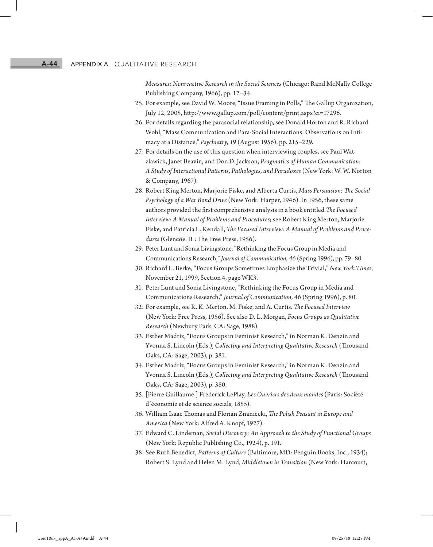*Measures: Nonreactive Research in the Social Sciences* (Chicago: Rand McNally College Publishing Company, 1966), pp. 12–34.

- 25. For example, see David W. Moore, "Issue Framing in Polls," The Gallup Organization, July 12, 2005, http://www.gallup.com/poll/content/print.aspx?ci=17296.
- 26. For details regarding the parasocial relationship, see Donald Horton and R. Richard Wohl, "Mass Communication and Para-Social Interactions: Observations on Intimacy at a Distance," *Psychiatry, 19* (August 1956), pp. 215–229.
- 27. For details on the use of this question when interviewing couples, see Paul Watzlawick, Janet Beavin, and Don D. Jackson, *Pragmatics of Human Communication: A Study of Interactional Patterns, Pathologies, and Paradoxes* (New York: W. W. Norton & Company, 1967).
- 28. Robert King Merton, Marjorie Fiske, and Alberta Curtis, *Mass Persuasion: The Social Psychology of a War Bond Drive* (New York: Harper, 1946). In 1956, these same authors provided the first comprehensive analysis in a book entitled *The Focused Interview: A Manual of Problems and Procedures*; see Robert King Merton, Marjorie Fiske, and Patricia L. Kendall, *The Focused Interview: A Manual of Problems and Procedures* (Glencoe, IL: The Free Press, 1956).
- 29. Peter Lunt and Sonia Livingstone, "Rethinking the Focus Group in Media and Communications Research," *Journal of Communication, 46* (Spring 1996), pp. 79–80.
- 30. Richard L. Berke, "Focus Groups Sometimes Emphasize the Trivial," *New York Times*, November 21, 1999, Section 4, page WK3.
- 31. Peter Lunt and Sonia Livingstone, "Rethinking the Focus Group in Media and Communications Research," *Journal of Communication, 46* (Spring 1996), p. 80.
- 32. For example, see R. K. Merton, M. Fiske, and A. Curtis. *The Focused Interview* (New York: Free Press, 1956). See also D. L. Morgan, *Focus Groups as Qualitative Research* (Newbury Park, CA: Sage, 1988).
- 33. Esther Madriz, "Focus Groups in Feminist Research," in Norman K. Denzin and Yvonna S. Lincoln (Eds.), *Collecting and Interpreting Qualitative Research* (Thousand Oaks, CA: Sage, 2003), p. 381.
- 34. Esther Madriz, "Focus Groups in Feminist Research," in Norman K. Denzin and Yvonna S. Lincoln (Eds.), *Collecting and Interpreting Qualitative Research* (Thousand Oaks, CA: Sage, 2003), p. 380.
- 35. [Pierre Guillaume ] Frederick LePlay, *Les Ouvriers des deux mondes* (Paris: Société d'économie et de science socials, 1855).
- 36. William Isaac Thomas and Florian Znaniecki, *The Polish Peasant in Europe and America* (New York: Alfred A. Knopf, 1927).
- 37. Edward C. Lindeman, *Social Discovery: An Approach to the Study of Functional Groups* (New York: Republic Publishing Co., 1924), p. 191.
- 38. See Ruth Benedict, *Patterns of Culture* (Baltimore, MD: Penguin Books, Inc., 1934); Robert S. Lynd and Helen M. Lynd, *Middletown in Transition* (New York: Harcourt,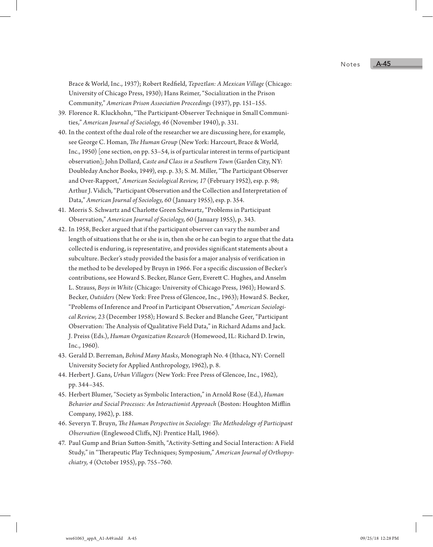#### Notes

A-45

Brace & World, Inc., 1937); Robert Redfield, *Tepoztlan: A Mexican Village* (Chicago: University of Chicago Press, 1930); Hans Reimer, "Socialization in the Prison Community," *American Prison Association Proceedings* (1937), pp. 151–155.

- 39. Florence R. Kluckhohn, "The Participant-Observer Technique in Small Communities," *American Journal of Sociology, 46* (November 1940), p. 331.
- 40. In the context of the dual role of the researcher we are discussing here, for example, see George C. Homan, *The Human Group* (New York: Harcourt, Brace & World, Inc., 1950) [one section, on pp. 53–54, is of particular interest in terms of participant observation]; John Dollard, *Caste and Class in a Southern Town* (Garden City, NY: Doubleday Anchor Books, 1949), esp. p. 33; S. M. Miller, "The Participant Observer and Over-Rapport," *American Sociological Review, 17* (February 1952), esp. p. 98; Arthur J. Vidich, "Participant Observation and the Collection and Interpretation of Data," *American Journal of Sociology, 60* (January 1955), esp. p. 354.
- 41. Morris S. Schwartz and Charlotte Green Schwartz, "Problems in Participant Observation," *American Journal of Sociology, 60* (January 1955), p. 343.
- 42. In 1958, Becker argued that if the participant observer can vary the number and length of situations that he or she is in, then she or he can begin to argue that the data collected is enduring, is representative, and provides significant statements about a subculture. Becker's study provided the basis for a major analysis of verification in the method to be developed by Bruyn in 1966. For a specific discussion of Becker's contributions, see Howard S. Becker, Blance Gerr, Everett C. Hughes, and Anselm L. Strauss, *Boys in White* (Chicago: University of Chicago Press, 1961); Howard S. Becker, *Outsiders* (New York: Free Press of Glencoe, Inc., 1963); Howard S. Becker, "Problems of Inference and Proof in Participant Observation," *American Sociological Review, 23* (December 1958); Howard S. Becker and Blanche Geer, "Participant Observation: The Analysis of Qualitative Field Data," in Richard Adams and Jack. J. Preiss (Eds.), *Human Organization Research* (Homewood, IL: Richard D. Irwin, Inc., 1960).
- 43. Gerald D. Berreman, *Behind Many Masks*, Monograph No. 4 (Ithaca, NY: Cornell University Society for Applied Anthropology, 1962), p. 8.
- 44. Herbert J. Gans, *Urban Villagers* (New York: Free Press of Glencoe, Inc., 1962), pp. 344–345.
- 45. Herbert Blumer, "Society as Symbolic Interaction," in Arnold Rose (Ed.), *Human Behavior and Social Processes: An Interactionist Approach* (Boston: Houghton Mifflin Company, 1962), p. 188.
- 46. Severyn T. Bruyn, *The Human Perspective in Sociology: The Methodology of Participant Observation* (Englewood Cliffs, NJ: Prentice Hall, 1966).
- 47. Paul Gump and Brian Sutton-Smith, "Activity-Setting and Social Interaction: A Field Study," in "Therapeutic Play Techniques; Symposium," *American Journal of Orthopsychiatry, 4* (October 1955), pp. 755–760.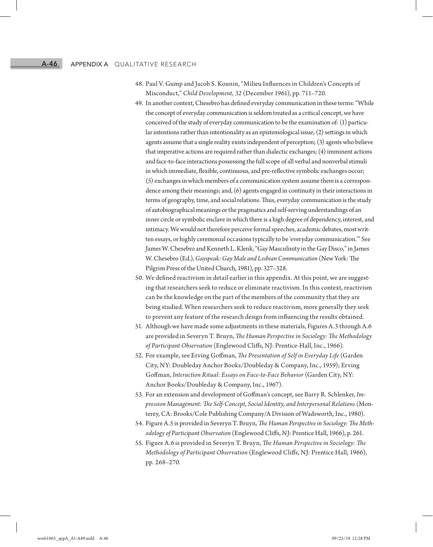- 48. Paul V. Gump and Jacob S. Kounin, "Milieu Influences in Children's Concepts of Misconduct," *Child Development, 32* (December 1961), pp. 711–720.
- 49. In another context, Chesebro has defined everyday communication in these terms: "While the concept of everyday communication is seldom treated as a critical concept, we have conceived of the study of everyday communication to be the examination of: (1) particular intentions rather than intentionality as an epistemological issue; (2) settings in which agents assume that a single reality exists independent of perception; (3) agents who believe that imperative actions are required rather than dialectic exchanges; (4) imminent actions and face-to-face interactions possessing the full scope of all verbal and nonverbal stimuli in which immediate, flexible, continuous, and pre-reflective symbolic exchanges occur; (5) exchanges in which members of a communication system assume there is a correspondence among their meanings; and, (6) agents engaged in continuity in their interactions in terms of geography, time, and social relations. Thus, everyday communication is the study of autobiographical meanings or the pragmatics and self-serving understandings of an inner circle or symbolic enclave in which there is a high degree of dependency, interest, and intimacy. We would not therefore perceive formal speeches, academic debates, most written essays, or highly ceremonial occasions typically to be 'everyday communication.'" See James W. Chesebro and Kenneth L. Klenk, "Gay Masculinity in the Gay Disco," in James W. Chesebro (Ed.), *Gayspeak: Gay Male and Lesbian Communication* (New York: The Pilgrim Press of the United Church, 1981), pp. 327–328.
- 50. We defined reactivism in detail earlier in this appendix. At this point, we are suggesting that researchers seek to reduce or eliminate reactivism. In this context, reactivism can be the knowledge on the part of the members of the community that they are being studied. When researchers seek to reduce reactivism, more generally they seek to prevent any feature of the research design from influencing the results obtained.
- 51. Although we have made some adjustments in these materials, Figures A.3 through A.6 are provided in Severyn T. Bruyn, *The Human Perspective in Sociology: The Methodology of Participant Observation* (Englewood Cliffs, NJ: Prentice-Hall, Inc., 1966).
- 52. For example, see Erving Goffman, *The Presentation of Self in Everyday Life* (Garden City, NY: Doubleday Anchor Books/Doubleday & Company, Inc., 1959); Erving Goffman, *Interaction Ritual: Essays on Face-to-Face Behavior* (Garden City, NY: Anchor Books/Doubleday & Company, Inc., 1967).
- 53. For an extension and development of Goffman's concept, see Barry R. Schlenker, *Impression Management: The Self-Concept, Social Identity, and Interpersonal Relations* (Monterey, CA: Brooks/Cole Publishing Company/A Division of Wadsworth, Inc., 1980).
- 54. Figure A.5 is provided in Severyn T. Bruyn, *The Human Perspective in Sociology: The Methodology of Participant Observation* (Englewood Cliffs, NJ: Prentice Hall, 1966), p. 261.
- 55. Figure A.6 is provided in Severyn T. Bruyn, *The Human Perspective in Sociology: The Methodology of Participant Observation* (Englewood Cliffs, NJ: Prentice Hall, 1966), pp. 268–270.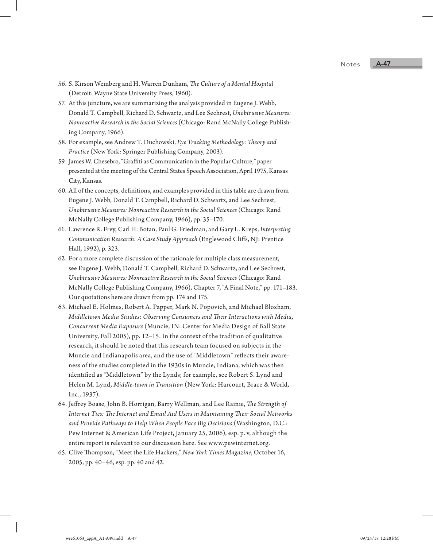#### Notes

A-47

- 56. S. Kirson Weinberg and H. Warren Dunham, *The Culture of a Mental Hospital* (Detroit: Wayne State University Press, 1960).
- 57. At this juncture, we are summarizing the analysis provided in Eugene J. Webb, Donald T. Campbell, Richard D. Schwartz, and Lee Sechrest, *Unobtrusive Measures: Nonreactive Research in the Social Sciences* (Chicago: Rand McNally College Publishing Company, 1966).
- 58. For example, see Andrew T. Duchowski, *Eye Tracking Methodology: Theory and Practice* (New York: Springer Publishing Company, 2003).
- 59. James W. Chesebro, "Graffiti as Communication in the Popular Culture," paper presented at the meeting of the Central States Speech Association, April 1975, Kansas City, Kansas.
- 60. All of the concepts, definitions, and examples provided in this table are drawn from Eugene J. Webb, Donald T. Campbell, Richard D. Schwartz, and Lee Sechrest, *Unobtrusive Measures: Nonreactive Research in the Social Sciences* (Chicago: Rand McNally College Publishing Company, 1966), pp. 35–170.
- 61. Lawrence R. Frey, Carl H. Botan, Paul G. Friedman, and Gary L. Kreps, *Interpreting Communication Research: A Case Study Approach* (Englewood Cliffs, NJ: Prentice Hall, 1992), p. 323.
- 62. For a more complete discussion of the rationale for multiple class measurement, see Eugene J. Webb, Donald T. Campbell, Richard D. Schwartz, and Lee Sechrest, *Unobtrusive Measures: Nonreactive Research in the Social Sciences* (Chicago: Rand McNally College Publishing Company, 1966), Chapter 7, "A Final Note," pp. 171–183. Our quotations here are drawn from pp. 174 and 175.
- 63. Michael E. Holmes, Robert A. Papper, Mark N. Popovich, and Michael Bloxham, *Middletown Media Studies: Observing Consumers and Their Interactions with Media, Concurrent Media Exposure* (Muncie, IN: Center for Media Design of Ball State University, Fall 2005), pp. 12–15. In the context of the tradition of qualitative research, it should be noted that this research team focused on subjects in the Muncie and Indianapolis area, and the use of "Middletown" reflects their awareness of the studies completed in the 1930s in Muncie, Indiana, which was then identified as "Middletown" by the Lynds; for example, see Robert S. Lynd and Helen M. Lynd, *Middle-town in Transition* (New York: Harcourt, Brace & World, Inc., 1937).
- 64. Jeffrey Boase, John B. Horrigan, Barry Wellman, and Lee Rainie, *The Strength of Internet Ties: The Internet and Email Aid Users in Maintaining Their Social Networks and Provide Pathways to Help When People Face Big Decisions* (Washington, D.C.: Pew Internet & American Life Project, January 25, 2006), esp. p. v, although the entire report is relevant to our discussion here. See www.pewinternet.org.
- 65. Clive Thompson, "Meet the Life Hackers," *New York Times Magazine*, October 16, 2005, pp. 40–46, esp. pp. 40 and 42.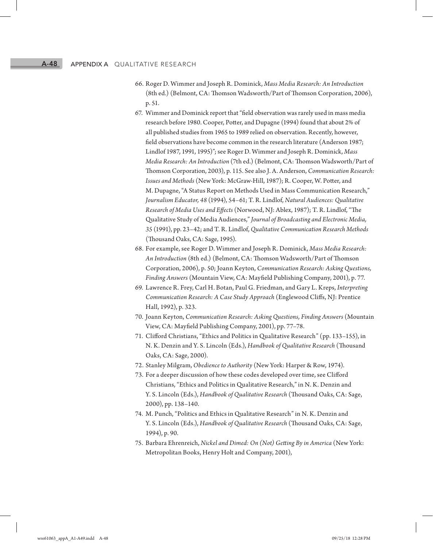- 66. Roger D. Wimmer and Joseph R. Dominick, *Mass Media Research: An Introduction* (8th ed.) (Belmont, CA: Thomson Wadsworth/Part of Thomson Corporation, 2006), p. 51.
- 67. Wimmer and Dominick report that "field observation was rarely used in mass media research before 1980. Cooper, Potter, and Dupagne (1994) found that about 2% of all published studies from 1965 to 1989 relied on observation. Recently, however, field observations have become common in the research literature (Anderson 1987; Lindlof 1987, 1991, 1995)"; see Roger D. Wimmer and Joseph R. Dominick, *Mass Media Research: An Introduction* (7th ed.) (Belmont, CA: Thomson Wadsworth/Part of Thomson Corporation, 2003), p. 115. See also J. A. Anderson, *Communication Research: Issues and Methods* (New York: McGraw-Hill, 1987); R. Cooper, W. Potter, and M. Dupagne, "A Status Report on Methods Used in Mass Communication Research," *Journalism Educator, 48* (1994), 54–61; T. R. Lindlof, *Natural Audiences: Qualitative Research of Media Uses and Effects* (Norwood, NJ: Ablex, 1987); T. R. Lindlof, "The Qualitative Study of Media Audiences," *Journal of Broadcasting and Electronic Media, 35* (1991), pp. 23–42; and T. R. Lindlof, *Qualitative Communication Research Methods* (Thousand Oaks, CA: Sage, 1995).
- 68. For example, see Roger D. Wimmer and Joseph R. Dominick, *Mass Media Research: An Introduction* (8th ed.) (Belmont, CA: Thomson Wadsworth/Part of Thomson Corporation, 2006), p. 50; Joann Keyton, *Communication Research: Asking Questions, Finding Answers* (Mountain View, CA: Mayfield Publishing Company, 2001), p. 77.
- 69. Lawrence R. Frey, Carl H. Botan, Paul G. Friedman, and Gary L. Kreps, *Interpreting Communication Research: A Case Study Approach* (Englewood Cliffs, NJ: Prentice Hall, 1992), p. 323.
- 70. Joann Keyton, *Communication Research: Asking Questions, Finding Answers* (Mountain View, CA: Mayfield Publishing Company, 2001), pp. 77–78.
- 71. Clifford Christians, "Ethics and Politics in Qualitative Research" (pp. 133–155), in N. K. Denzin and Y. S. Lincoln (Eds.), *Handbook of Qualitative Research* (Thousand Oaks, CA: Sage, 2000).
- 72. Stanley Milgram, *Obedience to Authority* (New York: Harper & Row, 1974).
- 73. For a deeper discussion of how these codes developed over time, see Clifford Christians, "Ethics and Politics in Qualitative Research," in N. K. Denzin and Y. S. Lincoln (Eds.), *Handbook of Qualitative Research* (Thousand Oaks, CA: Sage, 2000), pp. 138–140.
- 74. M. Punch, "Politics and Ethics in Qualitative Research" in N. K. Denzin and Y. S. Lincoln (Eds.), *Handbook of Qualitative Research* (Thousand Oaks, CA: Sage, 1994), p. 90.
- 75. Barbara Ehrenreich, *Nickel and Dimed: On (Not) Getting By in America* (New York: Metropolitan Books, Henry Holt and Company, 2001),